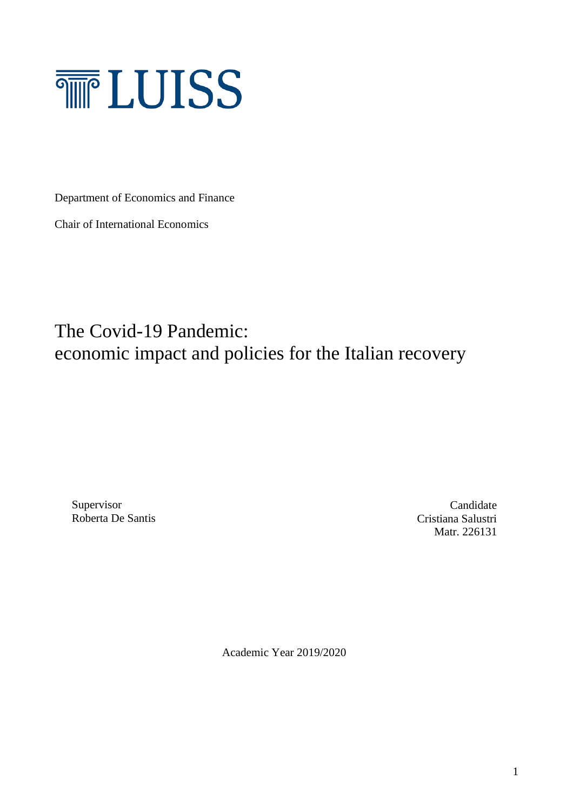

Department of Economics and Finance

Chair of International Economics

The Covid-19 Pandemic: economic impact and policies for the Italian recovery

Supervisor Roberta De Santis

Candidate Cristiana Salustri Matr. 226131

Academic Year 2019/2020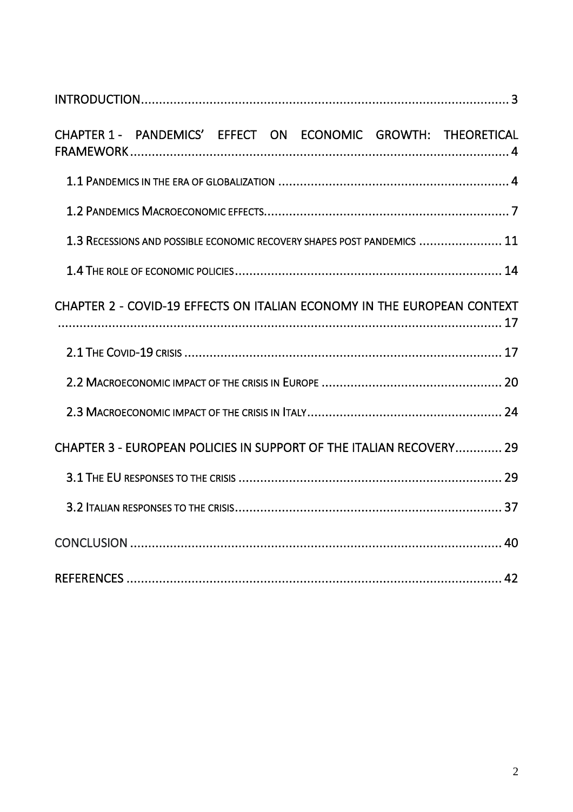|  |  |  | CHAPTER 1 - PANDEMICS' EFFECT ON ECONOMIC GROWTH: THEORETICAL           |
|--|--|--|-------------------------------------------------------------------------|
|  |  |  |                                                                         |
|  |  |  |                                                                         |
|  |  |  | 1.3 RECESSIONS AND POSSIBLE ECONOMIC RECOVERY SHAPES POST PANDEMICS  11 |
|  |  |  |                                                                         |
|  |  |  | CHAPTER 2 - COVID-19 EFFECTS ON ITALIAN ECONOMY IN THE EUROPEAN CONTEXT |
|  |  |  |                                                                         |
|  |  |  |                                                                         |
|  |  |  |                                                                         |
|  |  |  | CHAPTER 3 - EUROPEAN POLICIES IN SUPPORT OF THE ITALIAN RECOVERY 29     |
|  |  |  |                                                                         |
|  |  |  |                                                                         |
|  |  |  |                                                                         |
|  |  |  |                                                                         |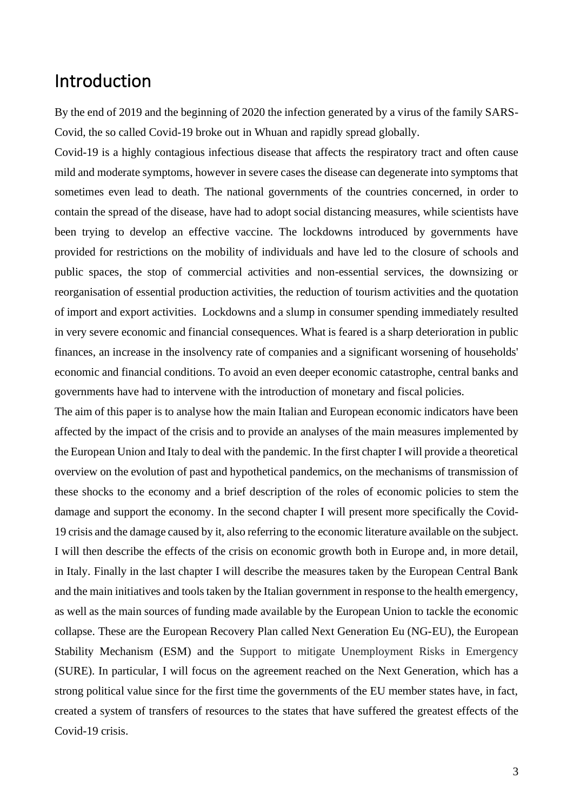## Introduction

By the end of 2019 and the beginning of 2020 the infection generated by a virus of the family SARS-Covid, the so called Covid-19 broke out in Whuan and rapidly spread globally.

Covid-19 is a highly contagious infectious disease that affects the respiratory tract and often cause mild and moderate symptoms, however in severe cases the disease can degenerate into symptoms that sometimes even lead to death. The national governments of the countries concerned, in order to contain the spread of the disease, have had to adopt social distancing measures, while scientists have been trying to develop an effective vaccine. The lockdowns introduced by governments have provided for restrictions on the mobility of individuals and have led to the closure of schools and public spaces, the stop of commercial activities and non-essential services, the downsizing or reorganisation of essential production activities, the reduction of tourism activities and the quotation of import and export activities. Lockdowns and a slump in consumer spending immediately resulted in very severe economic and financial consequences. What is feared is a sharp deterioration in public finances, an increase in the insolvency rate of companies and a significant worsening of households' economic and financial conditions. To avoid an even deeper economic catastrophe, central banks and governments have had to intervene with the introduction of monetary and fiscal policies.

The aim of this paper is to analyse how the main Italian and European economic indicators have been affected by the impact of the crisis and to provide an analyses of the main measures implemented by the European Union and Italy to deal with the pandemic. In the first chapter I will provide a theoretical overview on the evolution of past and hypothetical pandemics, on the mechanisms of transmission of these shocks to the economy and a brief description of the roles of economic policies to stem the damage and support the economy. In the second chapter I will present more specifically the Covid-19 crisis and the damage caused by it, also referring to the economic literature available on the subject. I will then describe the effects of the crisis on economic growth both in Europe and, in more detail, in Italy. Finally in the last chapter I will describe the measures taken by the European Central Bank and the main initiatives and tools taken by the Italian government in response to the health emergency, as well as the main sources of funding made available by the European Union to tackle the economic collapse. These are the European Recovery Plan called Next Generation Eu (NG-EU), the European Stability Mechanism (ESM) and the Support to mitigate Unemployment Risks in Emergency (SURE). In particular, I will focus on the agreement reached on the Next Generation, which has a strong political value since for the first time the governments of the EU member states have, in fact, created a system of transfers of resources to the states that have suffered the greatest effects of the Covid-19 crisis.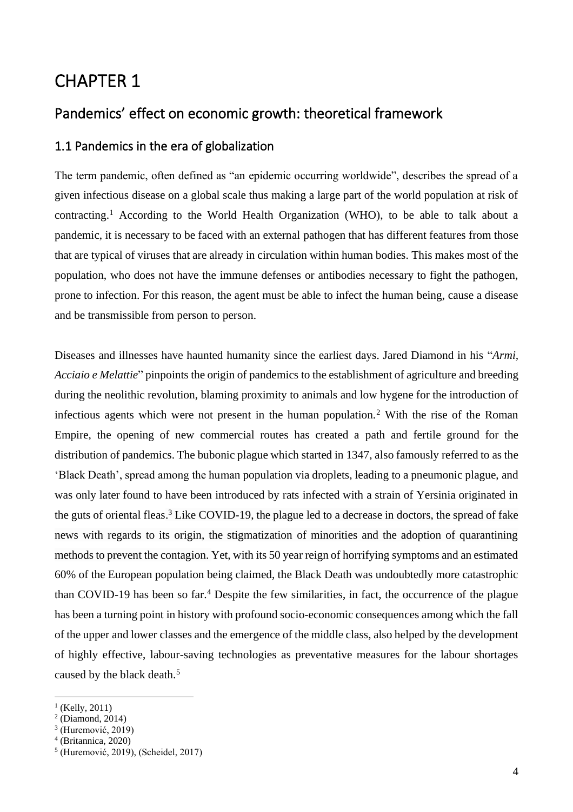# CHAPTER 1

## Pandemics' effect on economic growth: theoretical framework

### 1.1 Pandemics in the era of globalization

The term pandemic, often defined as "an epidemic occurring worldwide", describes the spread of a given infectious disease on a global scale thus making a large part of the world population at risk of contracting.<sup>1</sup> According to the World Health Organization (WHO), to be able to talk about a pandemic, it is necessary to be faced with an external pathogen that has different features from those that are typical of viruses that are already in circulation within human bodies. This makes most of the population, who does not have the immune defenses or antibodies necessary to fight the pathogen, prone to infection. For this reason, the agent must be able to infect the human being, cause a disease and be transmissible from person to person.

Diseases and illnesses have haunted humanity since the earliest days. Jared Diamond in his "*Armi, Acciaio e Melattie*" pinpoints the origin of pandemics to the establishment of agriculture and breeding during the neolithic revolution, blaming proximity to animals and low hygene for the introduction of infectious agents which were not present in the human population.<sup>2</sup> With the rise of the Roman Empire, the opening of new commercial routes has created a path and fertile ground for the distribution of pandemics. The bubonic plague which started in 1347, also famously referred to as the 'Black Death', spread among the human population via droplets, leading to a pneumonic plague, and was only later found to have been introduced by rats infected with a strain of Yersinia originated in the guts of oriental fleas. <sup>3</sup> Like COVID-19, the plague led to a decrease in doctors, the spread of fake news with regards to its origin, the stigmatization of minorities and the adoption of quarantining methods to prevent the contagion. Yet, with its 50 year reign of horrifying symptoms and an estimated 60% of the European population being claimed, the Black Death was undoubtedly more catastrophic than COVID-19 has been so far. <sup>4</sup> Despite the few similarities, in fact, the occurrence of the plague has been a turning point in history with profound socio-economic consequences among which the fall of the upper and lower classes and the emergence of the middle class, also helped by the development of highly effective, labour-saving technologies as preventative measures for the labour shortages caused by the black death.<sup>5</sup>

 $<sup>1</sup>$  (Kelly, 2011)</sup>

<sup>2</sup> (Diamond, 2014)

<sup>3</sup> (Huremović, 2019)

<sup>4</sup> (Britannica, 2020)

<sup>5</sup> (Huremović, 2019), (Scheidel, 2017)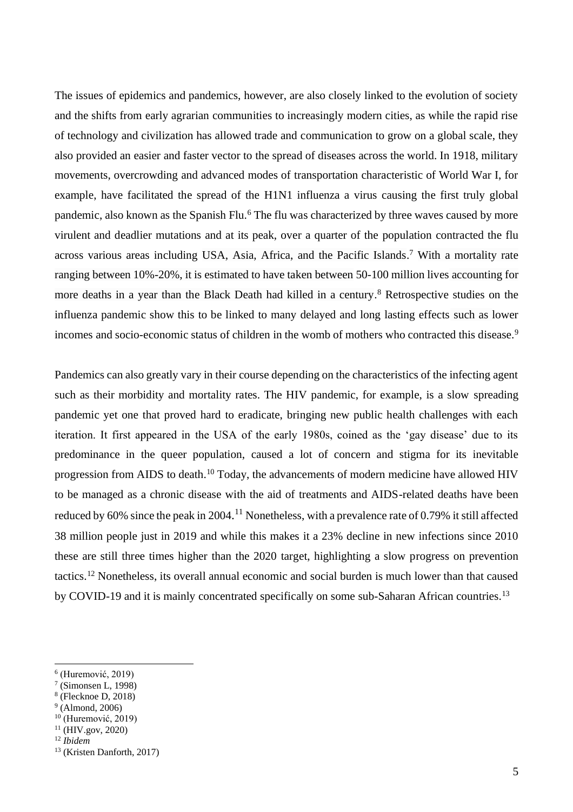The issues of epidemics and pandemics, however, are also closely linked to the evolution of society and the shifts from early agrarian communities to increasingly modern cities, as while the rapid rise of technology and civilization has allowed trade and communication to grow on a global scale, they also provided an easier and faster vector to the spread of diseases across the world. In 1918, military movements, overcrowding and advanced modes of transportation characteristic of World War I, for example, have facilitated the spread of the H1N1 influenza a virus causing the first truly global pandemic, also known as the Spanish Flu.<sup>6</sup> The flu was characterized by three waves caused by more virulent and deadlier mutations and at its peak, over a quarter of the population contracted the flu across various areas including USA, Asia, Africa, and the Pacific Islands. <sup>7</sup> With a mortality rate ranging between 10%-20%, it is estimated to have taken between 50-100 million lives accounting for more deaths in a year than the Black Death had killed in a century.<sup>8</sup> Retrospective studies on the influenza pandemic show this to be linked to many delayed and long lasting effects such as lower incomes and socio-economic status of children in the womb of mothers who contracted this disease.<sup>9</sup>

Pandemics can also greatly vary in their course depending on the characteristics of the infecting agent such as their morbidity and mortality rates. The HIV pandemic, for example, is a slow spreading pandemic yet one that proved hard to eradicate, bringing new public health challenges with each iteration. It first appeared in the USA of the early 1980s, coined as the 'gay disease' due to its predominance in the queer population, caused a lot of concern and stigma for its inevitable progression from AIDS to death.<sup>10</sup> Today, the advancements of modern medicine have allowed HIV to be managed as a chronic disease with the aid of treatments and AIDS-related deaths have been reduced by 60% since the peak in 2004.<sup>11</sup> Nonetheless, with a prevalence rate of 0.79% it still affected 38 million people just in 2019 and while this makes it a 23% decline in new infections since 2010 these are still three times higher than the 2020 target, highlighting a slow progress on prevention tactics. <sup>12</sup> Nonetheless, its overall annual economic and social burden is much lower than that caused by COVID-19 and it is mainly concentrated specifically on some sub-Saharan African countries.<sup>13</sup>

<sup>6</sup> (Huremović, 2019)

<sup>7</sup> (Simonsen L, 1998)

<sup>8</sup> (Flecknoe D, 2018)

 $<sup>9</sup>$  (Almond, 2006)</sup>

<sup>10</sup> (Huremović, 2019)

 $11$  (HIV.gov, 2020)

<sup>12</sup> *Ibidem*

<sup>13</sup> (Kristen Danforth, 2017)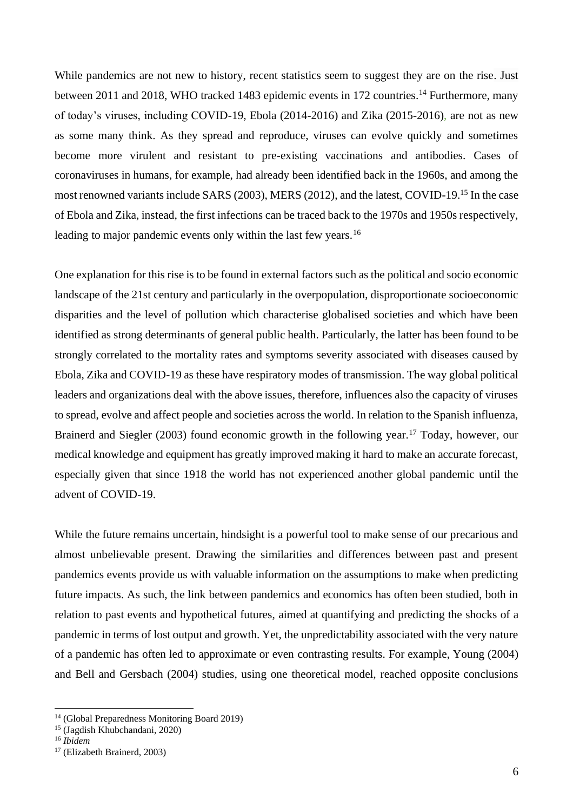While pandemics are not new to history, recent statistics seem to suggest they are on the rise. Just between 2011 and 2018, WHO tracked 1483 epidemic events in 172 countries.<sup>14</sup> Furthermore, many of today's viruses, including COVID-19, Ebola (2014-2016) and Zika (2015-2016), are not as new as some many think. As they spread and reproduce, viruses can evolve quickly and sometimes become more virulent and resistant to pre-existing vaccinations and antibodies. Cases of coronaviruses in humans, for example, had already been identified back in the 1960s, and among the most renowned variants include SARS (2003), MERS (2012), and the latest, COVID-19. <sup>15</sup> In the case of Ebola and Zika, instead, the first infections can be traced back to the 1970s and 1950s respectively, leading to major pandemic events only within the last few years.<sup>16</sup>

One explanation for this rise is to be found in external factors such as the political and socio economic landscape of the 21st century and particularly in the overpopulation, disproportionate socioeconomic disparities and the level of pollution which characterise globalised societies and which have been identified as strong determinants of general public health. Particularly, the latter has been found to be strongly correlated to the mortality rates and symptoms severity associated with diseases caused by Ebola, Zika and COVID-19 as these have respiratory modes of transmission. The way global political leaders and organizations deal with the above issues, therefore, influences also the capacity of viruses to spread, evolve and affect people and societies across the world. In relation to the Spanish influenza, Brainerd and Siegler (2003) found economic growth in the following year.<sup>17</sup> Today, however, our medical knowledge and equipment has greatly improved making it hard to make an accurate forecast, especially given that since 1918 the world has not experienced another global pandemic until the advent of COVID-19.

While the future remains uncertain, hindsight is a powerful tool to make sense of our precarious and almost unbelievable present. Drawing the similarities and differences between past and present pandemics events provide us with valuable information on the assumptions to make when predicting future impacts. As such, the link between pandemics and economics has often been studied, both in relation to past events and hypothetical futures, aimed at quantifying and predicting the shocks of a pandemic in terms of lost output and growth. Yet, the unpredictability associated with the very nature of a pandemic has often led to approximate or even contrasting results. For example, Young (2004) and Bell and Gersbach (2004) studies, using one theoretical model, reached opposite conclusions

<sup>14</sup> (Global Preparedness Monitoring Board 2019)

<sup>15</sup> (Jagdish Khubchandani, 2020)

<sup>16</sup> *Ibidem*

<sup>17</sup> (Elizabeth Brainerd, 2003)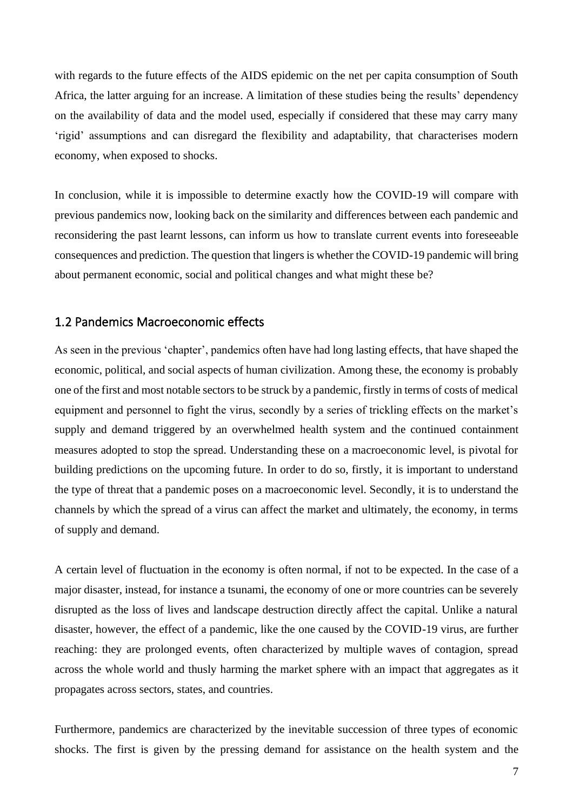with regards to the future effects of the AIDS epidemic on the net per capita consumption of South Africa, the latter arguing for an increase. A limitation of these studies being the results' dependency on the availability of data and the model used, especially if considered that these may carry many 'rigid' assumptions and can disregard the flexibility and adaptability, that characterises modern economy, when exposed to shocks.

In conclusion, while it is impossible to determine exactly how the COVID-19 will compare with previous pandemics now, looking back on the similarity and differences between each pandemic and reconsidering the past learnt lessons, can inform us how to translate current events into foreseeable consequences and prediction. The question that lingersis whether the COVID-19 pandemic will bring about permanent economic, social and political changes and what might these be?

#### 1.2 Pandemics Macroeconomic effects

As seen in the previous 'chapter', pandemics often have had long lasting effects, that have shaped the economic, political, and social aspects of human civilization. Among these, the economy is probably one of the first and most notable sectors to be struck by a pandemic, firstly in terms of costs of medical equipment and personnel to fight the virus, secondly by a series of trickling effects on the market's supply and demand triggered by an overwhelmed health system and the continued containment measures adopted to stop the spread. Understanding these on a macroeconomic level, is pivotal for building predictions on the upcoming future. In order to do so, firstly, it is important to understand the type of threat that a pandemic poses on a macroeconomic level. Secondly, it is to understand the channels by which the spread of a virus can affect the market and ultimately, the economy, in terms of supply and demand.

A certain level of fluctuation in the economy is often normal, if not to be expected. In the case of a major disaster, instead, for instance a tsunami, the economy of one or more countries can be severely disrupted as the loss of lives and landscape destruction directly affect the capital. Unlike a natural disaster, however, the effect of a pandemic, like the one caused by the COVID-19 virus, are further reaching: they are prolonged events, often characterized by multiple waves of contagion, spread across the whole world and thusly harming the market sphere with an impact that aggregates as it propagates across sectors, states, and countries.

Furthermore, pandemics are characterized by the inevitable succession of three types of economic shocks. The first is given by the pressing demand for assistance on the health system and the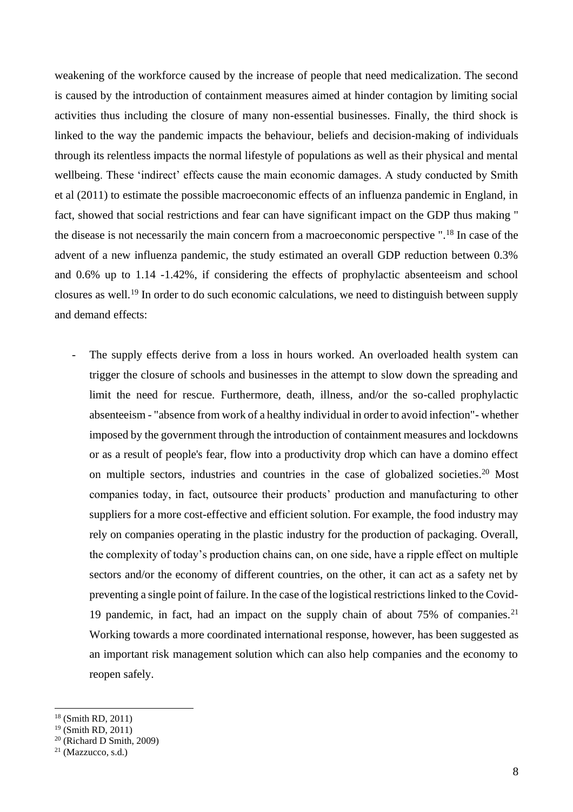weakening of the workforce caused by the increase of people that need medicalization. The second is caused by the introduction of containment measures aimed at hinder contagion by limiting social activities thus including the closure of many non-essential businesses. Finally, the third shock is linked to the way the pandemic impacts the behaviour, beliefs and decision-making of individuals through its relentless impacts the normal lifestyle of populations as well as their physical and mental wellbeing. These 'indirect' effects cause the main economic damages. A study conducted by Smith et al (2011) to estimate the possible macroeconomic effects of an influenza pandemic in England, in fact, showed that social restrictions and fear can have significant impact on the GDP thus making " the disease is not necessarily the main concern from a macroeconomic perspective ".<sup>18</sup> In case of the advent of a new influenza pandemic, the study estimated an overall GDP reduction between 0.3% and 0.6% up to 1.14 -1.42%, if considering the effects of prophylactic absenteeism and school closures as well.<sup>19</sup> In order to do such economic calculations, we need to distinguish between supply and demand effects:

The supply effects derive from a loss in hours worked. An overloaded health system can trigger the closure of schools and businesses in the attempt to slow down the spreading and limit the need for rescue. Furthermore, death, illness, and/or the so-called prophylactic absenteeism - "absence from work of a healthy individual in order to avoid infection"- whether imposed by the government through the introduction of containment measures and lockdowns or as a result of people's fear, flow into a productivity drop which can have a domino effect on multiple sectors, industries and countries in the case of globalized societies.<sup>20</sup> Most companies today, in fact, outsource their products' production and manufacturing to other suppliers for a more cost-effective and efficient solution. For example, the food industry may rely on companies operating in the plastic industry for the production of packaging. Overall, the complexity of today's production chains can, on one side, have a ripple effect on multiple sectors and/or the economy of different countries, on the other, it can act as a safety net by preventing a single point of failure. In the case of the logistical restrictions linked to the Covid-19 pandemic, in fact, had an impact on the supply chain of about 75% of companies.<sup>21</sup> Working towards a more coordinated international response, however, has been suggested as an important risk management solution which can also help companies and the economy to reopen safely.

<sup>18</sup> (Smith RD, 2011)

 $19$  (Smith RD, 2011)

 $20$  (Richard D Smith, 2009)

<sup>21</sup> (Mazzucco, s.d.)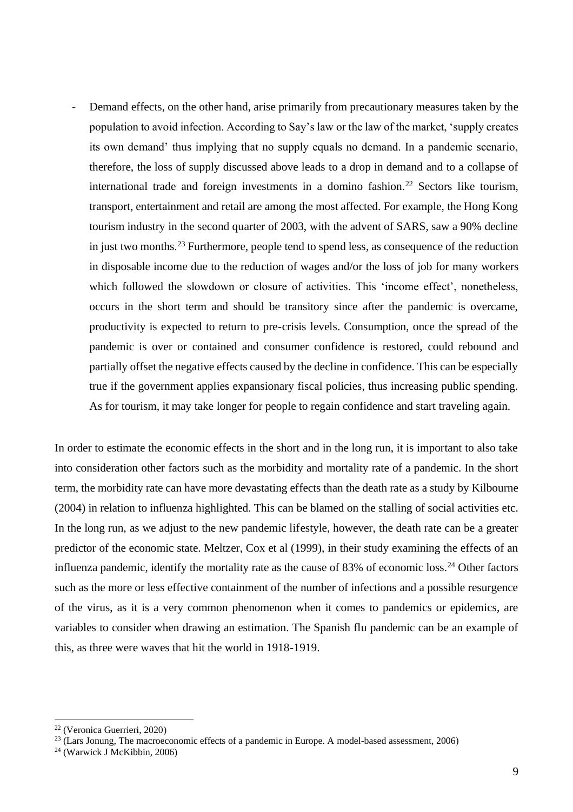Demand effects, on the other hand, arise primarily from precautionary measures taken by the population to avoid infection. According to Say's law or the law of the market, 'supply creates its own demand' thus implying that no supply equals no demand. In a pandemic scenario, therefore, the loss of supply discussed above leads to a drop in demand and to a collapse of international trade and foreign investments in a domino fashion.<sup>22</sup> Sectors like tourism, transport, entertainment and retail are among the most affected. For example, the Hong Kong tourism industry in the second quarter of 2003, with the advent of SARS, saw a 90% decline in just two months.<sup>23</sup> Furthermore, people tend to spend less, as consequence of the reduction in disposable income due to the reduction of wages and/or the loss of job for many workers which followed the slowdown or closure of activities. This 'income effect', nonetheless, occurs in the short term and should be transitory since after the pandemic is overcame, productivity is expected to return to pre-crisis levels. Consumption, once the spread of the pandemic is over or contained and consumer confidence is restored, could rebound and partially offset the negative effects caused by the decline in confidence. This can be especially true if the government applies expansionary fiscal policies, thus increasing public spending. As for tourism, it may take longer for people to regain confidence and start traveling again.

In order to estimate the economic effects in the short and in the long run, it is important to also take into consideration other factors such as the morbidity and mortality rate of a pandemic. In the short term, the morbidity rate can have more devastating effects than the death rate as a study by Kilbourne (2004) in relation to influenza highlighted. This can be blamed on the stalling of social activities etc. In the long run, as we adjust to the new pandemic lifestyle, however, the death rate can be a greater predictor of the economic state. Meltzer, Cox et al (1999), in their study examining the effects of an influenza pandemic, identify the mortality rate as the cause of 83% of economic loss.<sup>24</sup> Other factors such as the more or less effective containment of the number of infections and a possible resurgence of the virus, as it is a very common phenomenon when it comes to pandemics or epidemics, are variables to consider when drawing an estimation. The Spanish flu pandemic can be an example of this, as three were waves that hit the world in 1918-1919.

<sup>22</sup> (Veronica Guerrieri, 2020)

 $23$  (Lars Jonung, The macroeconomic effects of a pandemic in Europe. A model-based assessment, 2006)

<sup>24</sup> (Warwick J McKibbin, 2006)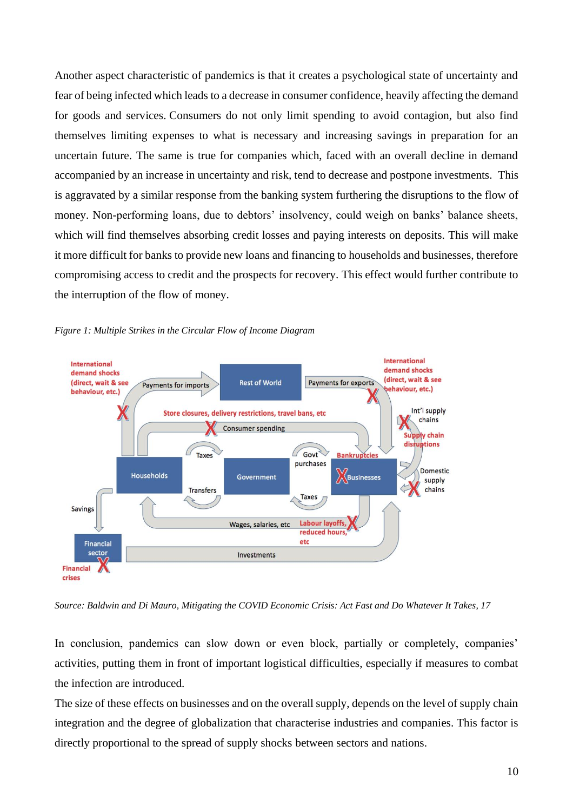Another aspect characteristic of pandemics is that it creates a psychological state of uncertainty and fear of being infected which leads to a decrease in consumer confidence, heavily affecting the demand for goods and services. Consumers do not only limit spending to avoid contagion, but also find themselves limiting expenses to what is necessary and increasing savings in preparation for an uncertain future. The same is true for companies which, faced with an overall decline in demand accompanied by an increase in uncertainty and risk, tend to decrease and postpone investments. This is aggravated by a similar response from the banking system furthering the disruptions to the flow of money. Non-performing loans, due to debtors' insolvency, could weigh on banks' balance sheets, which will find themselves absorbing credit losses and paying interests on deposits. This will make it more difficult for banks to provide new loans and financing to households and businesses, therefore compromising access to credit and the prospects for recovery. This effect would further contribute to the interruption of the flow of money.



*Figure 1: Multiple Strikes in the Circular Flow of Income Diagram*

*Source: Baldwin and Di Mauro, Mitigating the COVID Economic Crisis: Act Fast and Do Whatever It Takes, 17*

In conclusion, pandemics can slow down or even block, partially or completely, companies' activities, putting them in front of important logistical difficulties, especially if measures to combat the infection are introduced.

The size of these effects on businesses and on the overall supply, depends on the level of supply chain integration and the degree of globalization that characterise industries and companies. This factor is directly proportional to the spread of supply shocks between sectors and nations.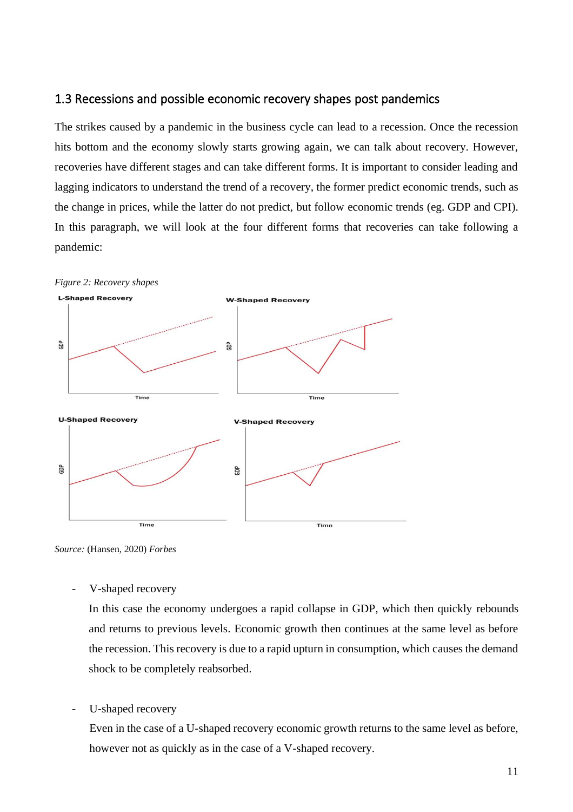#### 1.3 Recessions and possible economic recovery shapes post pandemics

The strikes caused by a pandemic in the business cycle can lead to a recession. Once the recession hits bottom and the economy slowly starts growing again, we can talk about recovery. However, recoveries have different stages and can take different forms. It is important to consider leading and lagging indicators to understand the trend of a recovery, the former predict economic trends, such as the change in prices, while the latter do not predict, but follow economic trends (eg. GDP and CPI). In this paragraph, we will look at the four different forms that recoveries can take following a pandemic:



*Source:* (Hansen, 2020) *Forbes*

V-shaped recovery

In this case the economy undergoes a rapid collapse in GDP, which then quickly rebounds and returns to previous levels. Economic growth then continues at the same level as before the recession. This recovery is due to a rapid upturn in consumption, which causes the demand shock to be completely reabsorbed.

U-shaped recovery

Even in the case of a U-shaped recovery economic growth returns to the same level as before, however not as quickly as in the case of a V-shaped recovery.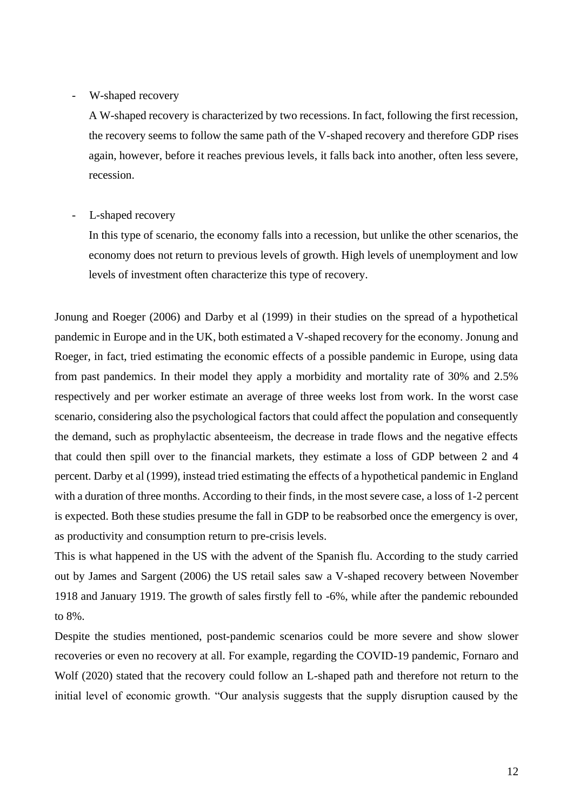#### W-shaped recovery

A W-shaped recovery is characterized by two recessions. In fact, following the first recession, the recovery seems to follow the same path of the V-shaped recovery and therefore GDP rises again, however, before it reaches previous levels, it falls back into another, often less severe, recession.

#### L-shaped recovery

In this type of scenario, the economy falls into a recession, but unlike the other scenarios, the economy does not return to previous levels of growth. High levels of unemployment and low levels of investment often characterize this type of recovery.

Jonung and Roeger (2006) and Darby et al (1999) in their studies on the spread of a hypothetical pandemic in Europe and in the UK, both estimated a V-shaped recovery for the economy. Jonung and Roeger, in fact, tried estimating the economic effects of a possible pandemic in Europe, using data from past pandemics. In their model they apply a morbidity and mortality rate of 30% and 2.5% respectively and per worker estimate an average of three weeks lost from work. In the worst case scenario, considering also the psychological factors that could affect the population and consequently the demand, such as prophylactic absenteeism, the decrease in trade flows and the negative effects that could then spill over to the financial markets, they estimate a loss of GDP between 2 and 4 percent. Darby et al (1999), instead tried estimating the effects of a hypothetical pandemic in England with a duration of three months. According to their finds, in the most severe case, a loss of 1-2 percent is expected. Both these studies presume the fall in GDP to be reabsorbed once the emergency is over, as productivity and consumption return to pre-crisis levels.

This is what happened in the US with the advent of the Spanish flu. According to the study carried out by James and Sargent (2006) the US retail sales saw a V-shaped recovery between November 1918 and January 1919. The growth of sales firstly fell to -6%, while after the pandemic rebounded to 8%.

Despite the studies mentioned, post-pandemic scenarios could be more severe and show slower recoveries or even no recovery at all. For example, regarding the COVID-19 pandemic, Fornaro and Wolf (2020) stated that the recovery could follow an L-shaped path and therefore not return to the initial level of economic growth. "Our analysis suggests that the supply disruption caused by the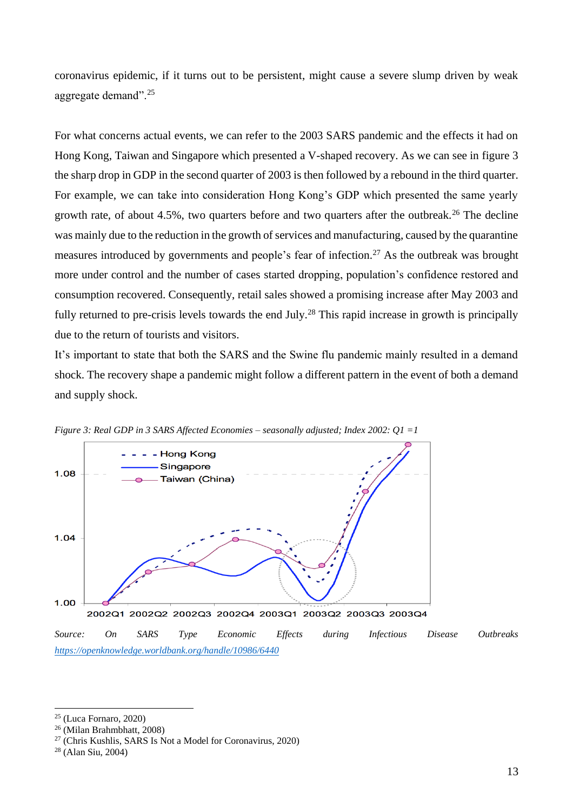coronavirus epidemic, if it turns out to be persistent, might cause a severe slump driven by weak aggregate demand".<sup>25</sup>

For what concerns actual events, we can refer to the 2003 SARS pandemic and the effects it had on Hong Kong, Taiwan and Singapore which presented a V-shaped recovery. As we can see in figure 3 the sharp drop in GDP in the second quarter of 2003 is then followed by a rebound in the third quarter. For example, we can take into consideration Hong Kong's GDP which presented the same yearly growth rate, of about 4.5%, two quarters before and two quarters after the outbreak.<sup>26</sup> The decline was mainly due to the reduction in the growth of services and manufacturing, caused by the quarantine measures introduced by governments and people's fear of infection.<sup>27</sup> As the outbreak was brought more under control and the number of cases started dropping, population's confidence restored and consumption recovered. Consequently, retail sales showed a promising increase after May 2003 and fully returned to pre-crisis levels towards the end July.<sup>28</sup> This rapid increase in growth is principally due to the return of tourists and visitors.

It's important to state that both the SARS and the Swine flu pandemic mainly resulted in a demand shock. The recovery shape a pandemic might follow a different pattern in the event of both a demand and supply shock.





 $25$  (Luca Fornaro, 2020)

<sup>26</sup> (Milan Brahmbhatt, 2008)

 $27$  (Chris Kushlis, SARS Is Not a Model for Coronavirus, 2020)

<sup>28</sup> (Alan Siu, 2004)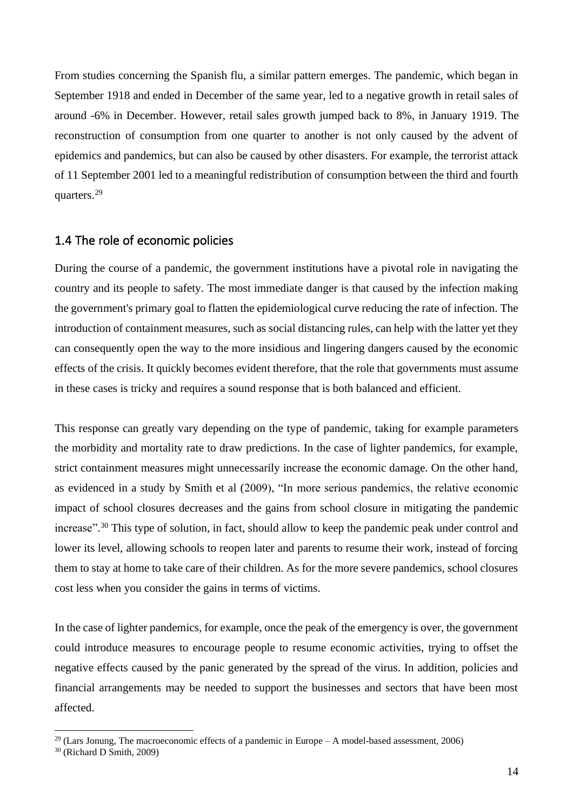From studies concerning the Spanish flu, a similar pattern emerges. The pandemic, which began in September 1918 and ended in December of the same year, led to a negative growth in retail sales of around -6% in December. However, retail sales growth jumped back to 8%, in January 1919. The reconstruction of consumption from one quarter to another is not only caused by the advent of epidemics and pandemics, but can also be caused by other disasters. For example, the terrorist attack of 11 September 2001 led to a meaningful redistribution of consumption between the third and fourth quarters.<sup>29</sup>

#### 1.4 The role of economic policies

During the course of a pandemic, the government institutions have a pivotal role in navigating the country and its people to safety. The most immediate danger is that caused by the infection making the government's primary goal to flatten the epidemiological curve reducing the rate of infection. The introduction of containment measures, such as social distancing rules, can help with the latter yet they can consequently open the way to the more insidious and lingering dangers caused by the economic effects of the crisis. It quickly becomes evident therefore, that the role that governments must assume in these cases is tricky and requires a sound response that is both balanced and efficient.

This response can greatly vary depending on the type of pandemic, taking for example parameters the morbidity and mortality rate to draw predictions. In the case of lighter pandemics, for example, strict containment measures might unnecessarily increase the economic damage. On the other hand, as evidenced in a study by Smith et al (2009), "In more serious pandemics, the relative economic impact of school closures decreases and the gains from school closure in mitigating the pandemic increase". <sup>30</sup> This type of solution, in fact, should allow to keep the pandemic peak under control and lower its level, allowing schools to reopen later and parents to resume their work, instead of forcing them to stay at home to take care of their children. As for the more severe pandemics, school closures cost less when you consider the gains in terms of victims.

In the case of lighter pandemics, for example, once the peak of the emergency is over, the government could introduce measures to encourage people to resume economic activities, trying to offset the negative effects caused by the panic generated by the spread of the virus. In addition, policies and financial arrangements may be needed to support the businesses and sectors that have been most affected.

<sup>&</sup>lt;sup>29</sup> (Lars Jonung, The macroeconomic effects of a pandemic in Europe – A model-based assessment, 2006)

<sup>30</sup> (Richard D Smith, 2009)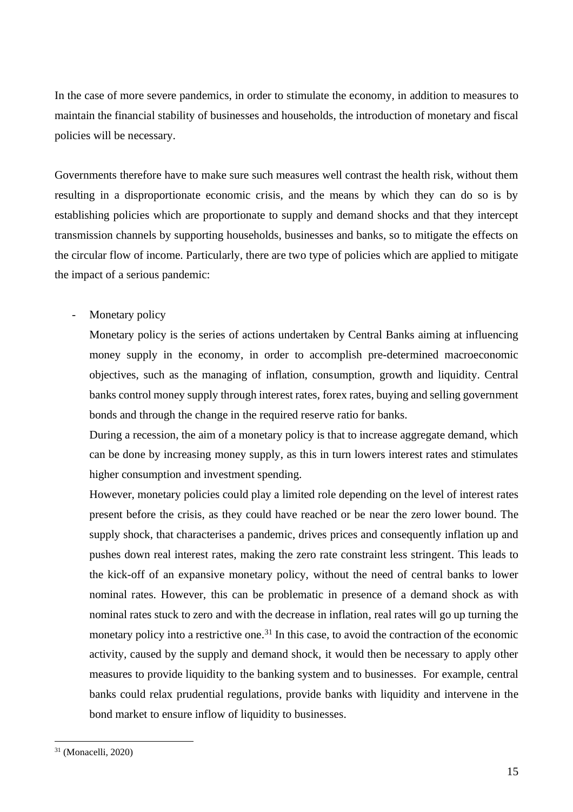In the case of more severe pandemics, in order to stimulate the economy, in addition to measures to maintain the financial stability of businesses and households, the introduction of monetary and fiscal policies will be necessary.

Governments therefore have to make sure such measures well contrast the health risk, without them resulting in a disproportionate economic crisis, and the means by which they can do so is by establishing policies which are proportionate to supply and demand shocks and that they intercept transmission channels by supporting households, businesses and banks, so to mitigate the effects on the circular flow of income. Particularly, there are two type of policies which are applied to mitigate the impact of a serious pandemic:

- Monetary policy

Monetary policy is the series of actions undertaken by Central Banks aiming at influencing money supply in the economy, in order to accomplish pre-determined macroeconomic objectives, such as the managing of inflation, consumption, growth and liquidity. Central banks control money supply through interest rates, forex rates, buying and selling government bonds and through the change in the required reserve ratio for banks.

During a recession, the aim of a monetary policy is that to increase aggregate demand, which can be done by increasing money supply, as this in turn lowers interest rates and stimulates higher consumption and investment spending.

However, monetary policies could play a limited role depending on the level of interest rates present before the crisis, as they could have reached or be near the zero lower bound. The supply shock, that characterises a pandemic, drives prices and consequently inflation up and pushes down real interest rates, making the zero rate constraint less stringent. This leads to the kick-off of an expansive monetary policy, without the need of central banks to lower nominal rates. However, this can be problematic in presence of a demand shock as with nominal rates stuck to zero and with the decrease in inflation, real rates will go up turning the monetary policy into a restrictive one.<sup>31</sup> In this case, to avoid the contraction of the economic activity, caused by the supply and demand shock, it would then be necessary to apply other measures to provide liquidity to the banking system and to businesses. For example, central banks could relax prudential regulations, provide banks with liquidity and intervene in the bond market to ensure inflow of liquidity to businesses.

<sup>31</sup> (Monacelli, 2020)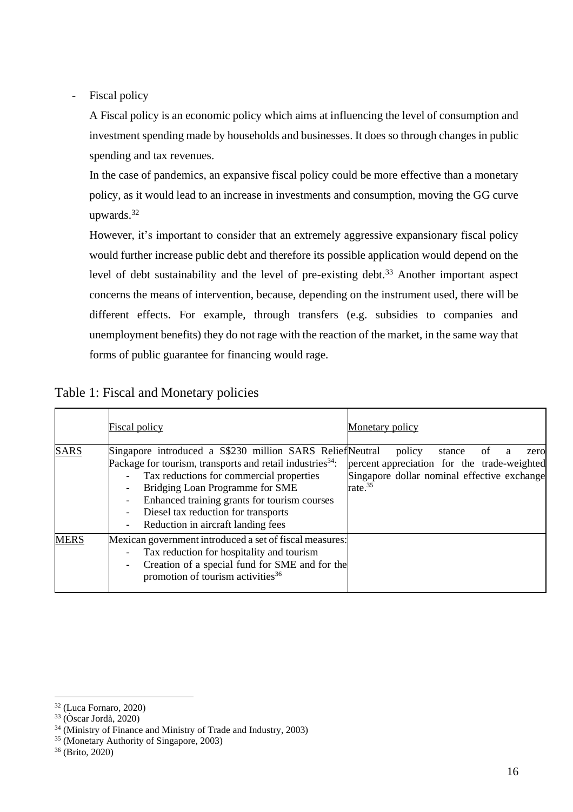- Fiscal policy

A Fiscal policy is an economic policy which aims at influencing the level of consumption and investment spending made by households and businesses. It does so through changes in public spending and tax revenues.

In the case of pandemics, an expansive fiscal policy could be more effective than a monetary policy, as it would lead to an increase in investments and consumption, moving the GG curve upwards.<sup>32</sup>

However, it's important to consider that an extremely aggressive expansionary fiscal policy would further increase public debt and therefore its possible application would depend on the level of debt sustainability and the level of pre-existing debt.<sup>33</sup> Another important aspect concerns the means of intervention, because, depending on the instrument used, there will be different effects. For example, through transfers (e.g. subsidies to companies and unemployment benefits) they do not rage with the reaction of the market, in the same way that forms of public guarantee for financing would rage.

|             | Fiscal policy                                                                                                                                                                                                                                                                                                                                 | Monetary policy                                                                                                                            |
|-------------|-----------------------------------------------------------------------------------------------------------------------------------------------------------------------------------------------------------------------------------------------------------------------------------------------------------------------------------------------|--------------------------------------------------------------------------------------------------------------------------------------------|
| <b>SARS</b> | Singapore introduced a S\$230 million SARS ReliefNeutral<br>Package for tourism, transports and retail industries <sup>34</sup> :<br>Tax reductions for commercial properties<br>Bridging Loan Programme for SME<br>Enhanced training grants for tourism courses<br>Diesel tax reduction for transports<br>Reduction in aircraft landing fees | policy<br>stance<br>ot<br>zero<br>percent appreciation for the trade-weighted<br>Singapore dollar nominal effective exchange<br>rate. $35$ |
| <b>MERS</b> | Mexican government introduced a set of fiscal measures:<br>Tax reduction for hospitality and tourism<br>Creation of a special fund for SME and for the<br>promotion of tourism activities <sup>36</sup>                                                                                                                                       |                                                                                                                                            |

Table 1: Fiscal and Monetary policies

<sup>32</sup> (Luca Fornaro, 2020)

<sup>33</sup> (Òscar Jordà, 2020)

<sup>34</sup> (Ministry of Finance and Ministry of Trade and Industry, 2003)

<sup>35</sup> (Monetary Authority of Singapore, 2003)

<sup>36</sup> (Brito, 2020)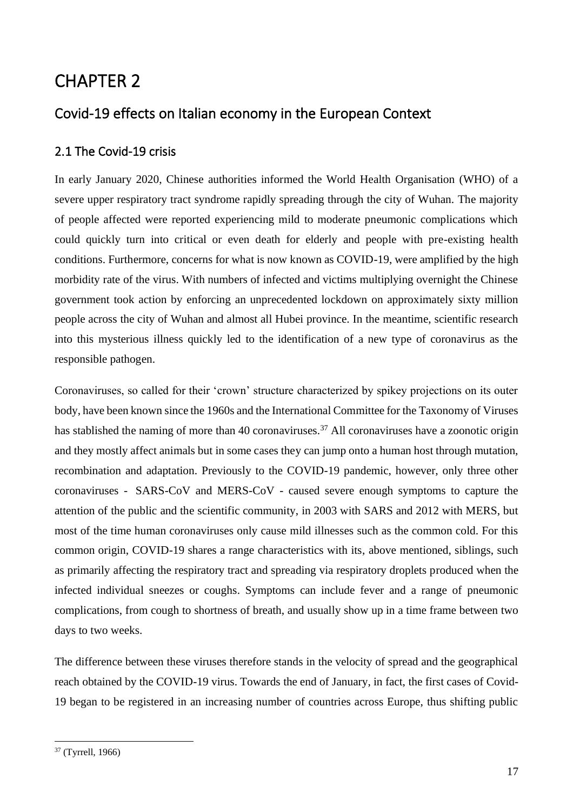# CHAPTER 2

## Covid-19 effects on Italian economy in the European Context

### 2.1 The Covid-19 crisis

In early January 2020, Chinese authorities informed the World Health Organisation (WHO) of a severe upper respiratory tract syndrome rapidly spreading through the city of Wuhan. The majority of people affected were reported experiencing mild to moderate pneumonic complications which could quickly turn into critical or even death for elderly and people with pre-existing health conditions. Furthermore, concerns for what is now known as COVID-19, were amplified by the high morbidity rate of the virus. With numbers of infected and victims multiplying overnight the Chinese government took action by enforcing an unprecedented lockdown on approximately sixty million people across the city of Wuhan and almost all Hubei province. In the meantime, scientific research into this mysterious illness quickly led to the identification of a new type of coronavirus as the responsible pathogen.

Coronaviruses, so called for their 'crown' structure characterized by spikey projections on its outer body, have been known [since the 1960s](https://www.thelancet.com/journals/lancet/article/PIIS0140-6736(66)92364-6/fulltext) and th[e International Committee for the Taxonomy of Viruses](https://talk.ictvonline.org/taxonomy/) has stablished the naming of more than 40 coronaviruses.<sup>37</sup> All coronaviruses have a zoonotic origin and they mostly affect animals but in some cases they can jump onto a human host through mutation, recombination and adaptation. Previously to the COVID-19 pandemic, however, only three other coronaviruses - SARS-CoV and MERS-CoV - caused severe enough symptoms to capture the attention of the public and the scientific community, in 2003 with SARS and 2012 with MERS, but most of the time human coronaviruses only cause mild illnesses such as the common cold. For this common origin, COVID-19 shares a range characteristics with its, above mentioned, siblings, such as primarily affecting the respiratory tract and spreading via respiratory droplets produced when the infected individual sneezes or coughs. Symptoms can include fever and a range of pneumonic complications, from cough to shortness of breath, and usually show up in a time frame between two days to two weeks.

The difference between these viruses therefore stands in the velocity of spread and the geographical reach obtained by the COVID-19 virus. Towards the end of January, in fact, the first cases of Covid-19 began to be registered in an increasing number of countries across Europe, thus shifting public

<sup>37</sup> (Tyrrell, 1966)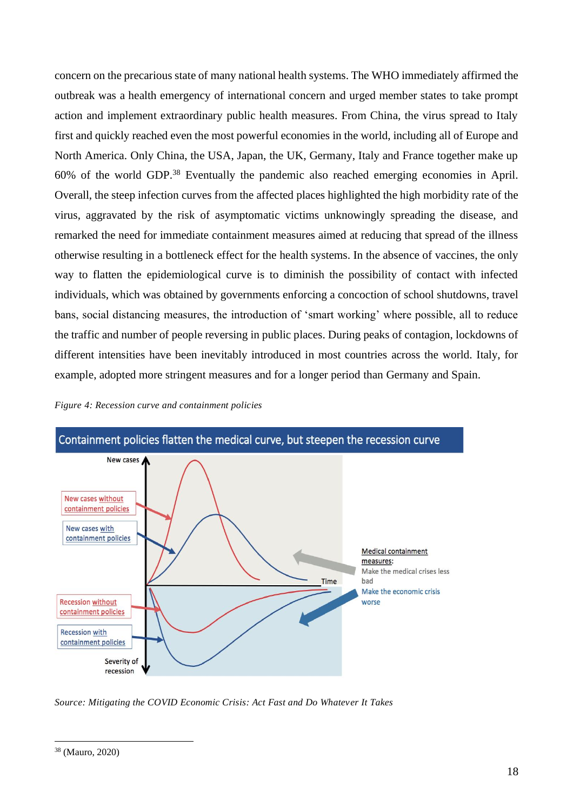concern on the precarious state of many national health systems. The WHO immediately affirmed the outbreak was a health emergency of international concern and urged member states to take prompt action and implement extraordinary public health measures. From China, the virus spread to Italy first and quickly reached even the most powerful economies in the world, including all of Europe and North America. Only China, the USA, Japan, the UK, Germany, Italy and France together make up 60% of the world GDP.<sup>38</sup> Eventually the pandemic also reached emerging economies in April. Overall, the steep infection curves from the affected places highlighted the high morbidity rate of the virus, aggravated by the risk of asymptomatic victims unknowingly spreading the disease, and remarked the need for immediate containment measures aimed at reducing that spread of the illness otherwise resulting in a bottleneck effect for the health systems. In the absence of vaccines, the only way to flatten the epidemiological curve is to diminish the possibility of contact with infected individuals, which was obtained by governments enforcing a concoction of school shutdowns, travel bans, social distancing measures, the introduction of 'smart working' where possible, all to reduce the traffic and number of people reversing in public places. During peaks of contagion, lockdowns of different intensities have been inevitably introduced in most countries across the world. Italy, for example, adopted more stringent measures and for a longer period than Germany and Spain.





*Source: Mitigating the COVID Economic Crisis: Act Fast and Do Whatever It Takes*

<sup>38</sup> (Mauro, 2020)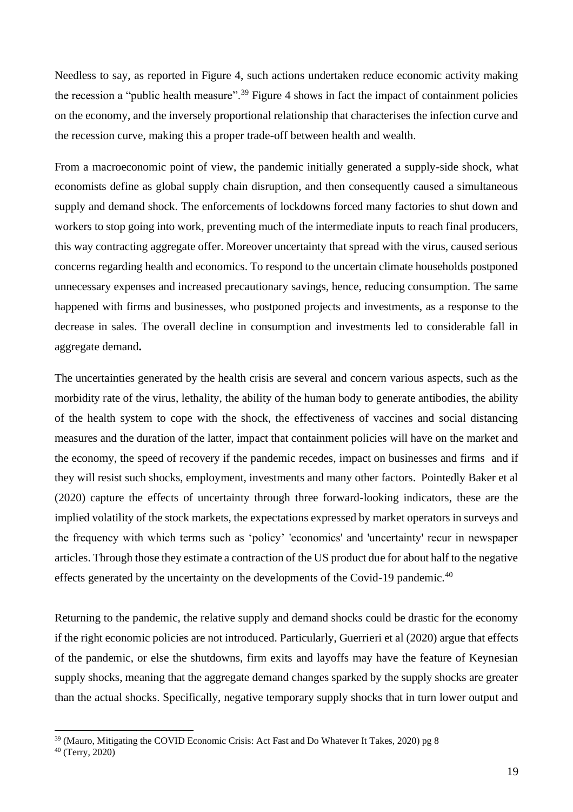Needless to say, as reported in Figure 4, such actions undertaken reduce economic activity making the recession a "public health measure".<sup>39</sup> Figure 4 shows in fact the impact of containment policies on the economy, and the inversely proportional relationship that characterises the infection curve and the recession curve, making this a proper trade-off between health and wealth.

From a macroeconomic point of view, the pandemic initially generated a supply-side shock, what economists define as global supply chain disruption, and then consequently caused a simultaneous supply and demand shock. The enforcements of lockdowns forced many factories to shut down and workers to stop going into work, preventing much of the intermediate inputs to reach final producers, this way contracting aggregate offer. Moreover uncertainty that spread with the virus, caused serious concerns regarding health and economics. To respond to the uncertain climate households postponed unnecessary expenses and increased precautionary savings, hence, reducing consumption. The same happened with firms and businesses, who postponed projects and investments, as a response to the decrease in sales. The overall decline in consumption and investments led to considerable fall in aggregate demand**.**

The uncertainties generated by the health crisis are several and concern various aspects, such as the morbidity rate of the virus, lethality, the ability of the human body to generate antibodies, the ability of the health system to cope with the shock, the effectiveness of vaccines and social distancing measures and the duration of the latter, impact that containment policies will have on the market and the economy, the speed of recovery if the pandemic recedes, impact on businesses and firms and if they will resist such shocks, employment, investments and many other factors. Pointedly Baker et al (2020) capture the effects of uncertainty through three forward-looking indicators, these are the implied volatility of the stock markets, the expectations expressed by market operators in surveys and the frequency with which terms such as 'policy' 'economics' and 'uncertainty' recur in newspaper articles. Through those they estimate a contraction of the US product due for about half to the negative effects generated by the uncertainty on the developments of the Covid-19 pandemic.<sup>40</sup>

Returning to the pandemic, the relative supply and demand shocks could be drastic for the economy if the right economic policies are not introduced. Particularly, Guerrieri et al (2020) argue that effects of the pandemic, or else the shutdowns, firm exits and layoffs may have the feature of Keynesian supply shocks, meaning that the aggregate demand changes sparked by the supply shocks are greater than the actual shocks. Specifically, negative temporary supply shocks that in turn lower output and

<sup>&</sup>lt;sup>39</sup> (Mauro, Mitigating the COVID Economic Crisis: Act Fast and Do Whatever It Takes, 2020) pg 8

<sup>40</sup> (Terry, 2020)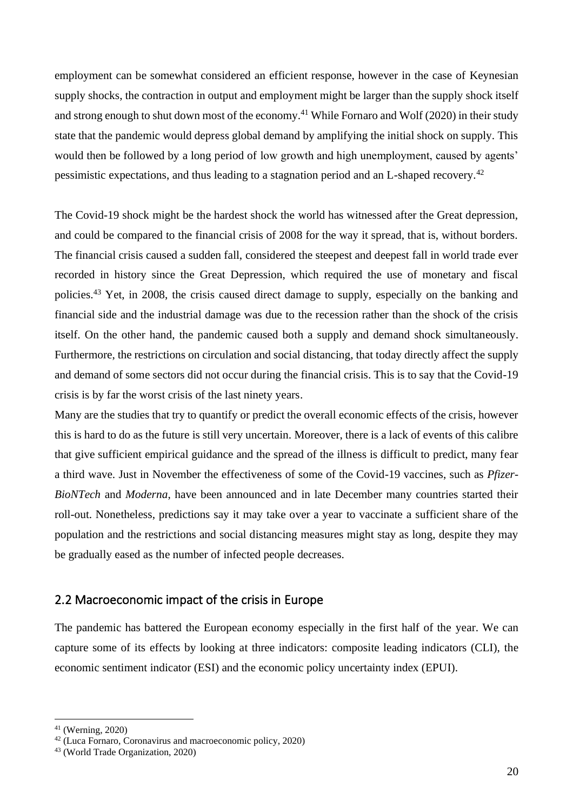employment can be somewhat considered an efficient response, however in the case of Keynesian supply shocks, the contraction in output and employment might be larger than the supply shock itself and strong enough to shut down most of the economy.<sup>41</sup> While Fornaro and Wolf (2020) in their study state that the pandemic would depress global demand by amplifying the initial shock on supply. This would then be followed by a long period of low growth and high unemployment, caused by agents' pessimistic expectations, and thus leading to a stagnation period and an L-shaped recovery.<sup>42</sup>

The Covid-19 shock might be the hardest shock the world has witnessed after the Great depression, and could be compared to the financial crisis of 2008 for the way it spread, that is, without borders. The financial crisis caused a sudden fall, considered the steepest and deepest fall in world trade ever recorded in history since the Great Depression, which required the use of monetary and fiscal policies.<sup>43</sup> Yet, in 2008, the crisis caused direct damage to supply, especially on the banking and financial side and the industrial damage was due to the recession rather than the shock of the crisis itself. On the other hand, the pandemic caused both a supply and demand shock simultaneously. Furthermore, the restrictions on circulation and social distancing, that today directly affect the supply and demand of some sectors did not occur during the financial crisis. This is to say that the Covid-19 crisis is by far the worst crisis of the last ninety years.

Many are the studies that try to quantify or predict the overall economic effects of the crisis, however this is hard to do as the future is still very uncertain. Moreover, there is a lack of events of this calibre that give sufficient empirical guidance and the spread of the illness is difficult to predict, many fear a third wave. Just in November the effectiveness of some of the Covid-19 vaccines, such as *Pfizer-BioNTech* and *Moderna*, have been announced and in late December many countries started their roll-out. Nonetheless, predictions say it may take over a year to vaccinate a sufficient share of the population and the restrictions and social distancing measures might stay as long, despite they may be gradually eased as the number of infected people decreases.

### 2.2 Macroeconomic impact of the crisis in Europe

The pandemic has battered the European economy especially in the first half of the year. We can capture some of its effects by looking at three indicators: composite leading indicators (CLI), the economic sentiment indicator (ESI) and the economic policy uncertainty index (EPUI).

<sup>41</sup> (Werning, 2020)

<sup>42</sup> (Luca Fornaro, Coronavirus and macroeconomic policy, 2020)

<sup>43</sup> (World Trade Organization, 2020)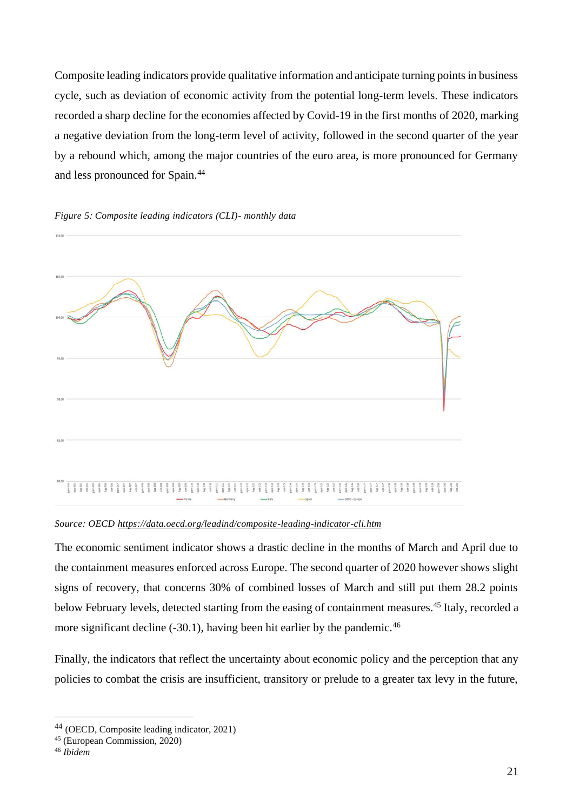Composite leading indicators provide qualitative information and anticipate turning points in business cycle, such as deviation of economic activity from the potential long-term levels. These indicators recorded a sharp decline for the economies affected by Covid-19 in the first months of 2020, marking a negative deviation from the long-term level of activity, followed in the second quarter of the year by a rebound which, among the major countries of the euro area, is more pronounced for Germany and less pronounced for Spain.<sup>44</sup>



#### *Figure 5: Composite leading indicators (CLI)- monthly data*

*Source: OECD<https://data.oecd.org/leadind/composite-leading-indicator-cli.htm>*

The economic sentiment indicator shows a drastic decline in the months of March and April due to the containment measures enforced across Europe. The second quarter of 2020 however shows slight signs of recovery, that concerns 30% of combined losses of March and still put them 28.2 points below February levels, detected starting from the easing of containment measures. <sup>45</sup> Italy, recorded a more significant decline (-30.1), having been hit earlier by the pandemic.<sup>46</sup>

Finally, the indicators that reflect the uncertainty about economic policy and the perception that any policies to combat the crisis are insufficient, transitory or prelude to a greater tax levy in the future,

<sup>44</sup> (OECD, Composite leading indicator, 2021)

<sup>45</sup> (European Commission, 2020)

<sup>46</sup> *Ibidem*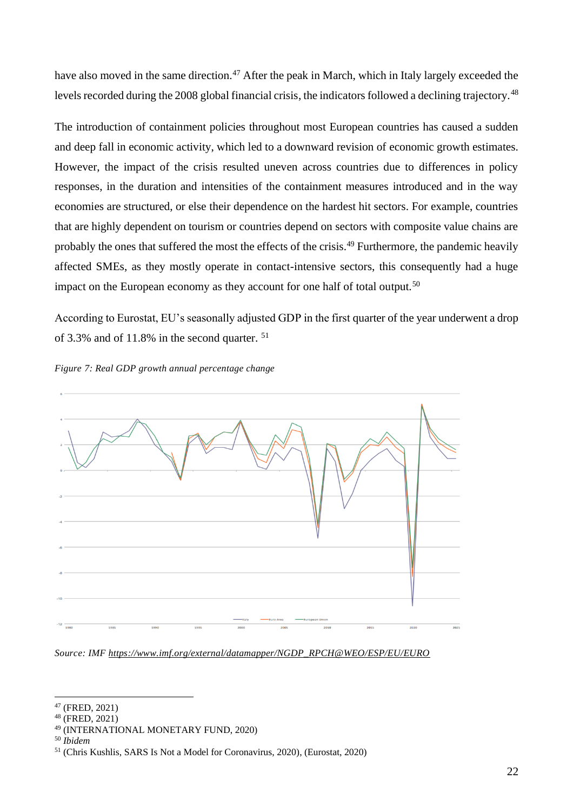have also moved in the same direction.<sup>47</sup> After the peak in March, which in Italy largely exceeded the levels recorded during the 2008 global financial crisis, the indicators followed a declining trajectory.<sup>48</sup>

The introduction of containment policies throughout most European countries has caused a sudden and deep fall in economic activity, which led to a downward revision of economic growth estimates. However, the impact of the crisis resulted uneven across countries due to differences in policy responses, in the duration and intensities of the containment measures introduced and in the way economies are structured, or else their dependence on the hardest hit sectors. For example, countries that are highly dependent on tourism or countries depend on sectors with composite value chains are probably the ones that suffered the most the effects of the crisis.<sup>49</sup> Furthermore, the pandemic heavily affected SMEs, as they mostly operate in contact-intensive sectors, this consequently had a huge impact on the European economy as they account for one half of total output.<sup>50</sup>

According to Eurostat, EU's seasonally adjusted GDP in the first quarter of the year underwent a drop of 3.3% and of 11.8% in the second quarter. <sup>51</sup>





*Source: IMF [https://www.imf.org/external/datamapper/NGDP\\_RPCH@WEO/ESP/EU/EURO](https://www.imf.org/external/datamapper/NGDP_RPCH@WEO/ESP/EU/EURO)*

<sup>47</sup> (FRED, 2021)

<sup>48</sup> (FRED, 2021)

<sup>49</sup> (INTERNATIONAL MONETARY FUND, 2020)

<sup>50</sup> *Ibidem*

<sup>51</sup> (Chris Kushlis, SARS Is Not a Model for Coronavirus, 2020), (Eurostat, 2020)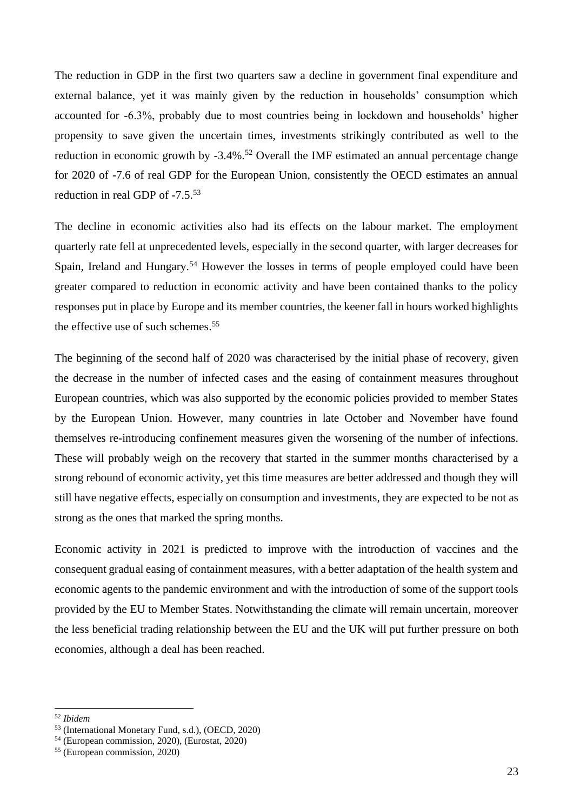The reduction in GDP in the first two quarters saw a decline in government final expenditure and external balance, yet it was mainly given by the reduction in households' consumption which accounted for -6.3%, probably due to most countries being in lockdown and households' higher propensity to save given the uncertain times, investments strikingly contributed as well to the reduction in economic growth by -3.4%.<sup>52</sup> Overall the IMF estimated an annual percentage change for 2020 of -7.6 of real GDP for the European Union, consistently the OECD estimates an annual reduction in real GDP of -7.5.<sup>53</sup>

The decline in economic activities also had its effects on the labour market. The employment quarterly rate fell at unprecedented levels, especially in the second quarter, with larger decreases for Spain, Ireland and Hungary.<sup>54</sup> However the losses in terms of people employed could have been greater compared to reduction in economic activity and have been contained thanks to the policy responses put in place by Europe and its member countries, the keener fall in hours worked highlights the effective use of such schemes. 55

The beginning of the second half of 2020 was characterised by the initial phase of recovery, given the decrease in the number of infected cases and the easing of containment measures throughout European countries, which was also supported by the economic policies provided to member States by the European Union. However, many countries in late October and November have found themselves re-introducing confinement measures given the worsening of the number of infections. These will probably weigh on the recovery that started in the summer months characterised by a strong rebound of economic activity, yet this time measures are better addressed and though they will still have negative effects, especially on consumption and investments, they are expected to be not as strong as the ones that marked the spring months.

Economic activity in 2021 is predicted to improve with the introduction of vaccines and the consequent gradual easing of containment measures, with a better adaptation of the health system and economic agents to the pandemic environment and with the introduction of some of the support tools provided by the EU to Member States. Notwithstanding the climate will remain uncertain, moreover the less beneficial trading relationship between the EU and the UK will put further pressure on both economies, although a deal has been reached.

<sup>52</sup> *Ibidem*

<sup>53</sup> (International Monetary Fund, s.d.), (OECD, 2020)

<sup>54</sup> (European commission, 2020), (Eurostat, 2020)

<sup>55</sup> (European commission, 2020)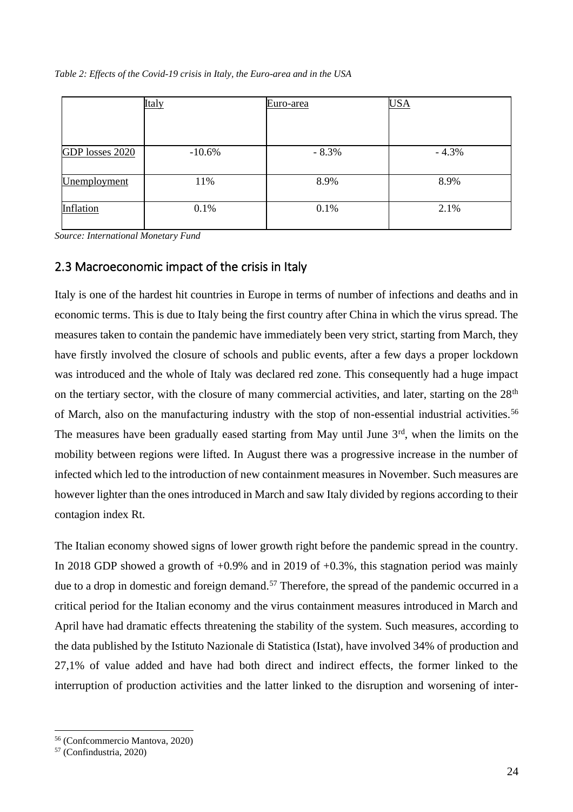|                 | Italy    | Euro-area | <b>USA</b> |
|-----------------|----------|-----------|------------|
|                 |          |           |            |
|                 | $-10.6%$ | $-8.3%$   | $-4.3%$    |
| GDP losses 2020 |          |           |            |
| Unemployment    | 11%      | 8.9%      | 8.9%       |
| Inflation       | 0.1%     | 0.1%      | 2.1%       |

*Source: International Monetary Fund*

### 2.3 Macroeconomic impact of the crisis in Italy

Italy is one of the hardest hit countries in Europe in terms of number of infections and deaths and in economic terms. This is due to Italy being the first country after China in which the virus spread. The measures taken to contain the pandemic have immediately been very strict, starting from March, they have firstly involved the closure of schools and public events, after a few days a proper lockdown was introduced and the whole of Italy was declared red zone. This consequently had a huge impact on the tertiary sector, with the closure of many commercial activities, and later, starting on the 28<sup>th</sup> of March, also on the manufacturing industry with the stop of non-essential industrial activities.<sup>56</sup> The measures have been gradually eased starting from May until June  $3<sup>rd</sup>$ , when the limits on the mobility between regions were lifted. In August there was a progressive increase in the number of infected which led to the introduction of new containment measures in November. Such measures are however lighter than the ones introduced in March and saw Italy divided by regions according to their contagion index Rt.

The Italian economy showed signs of lower growth right before the pandemic spread in the country. In 2018 GDP showed a growth of  $+0.9\%$  and in 2019 of  $+0.3\%$ , this stagnation period was mainly due to a drop in domestic and foreign demand.<sup>57</sup> Therefore, the spread of the pandemic occurred in a critical period for the Italian economy and the virus containment measures introduced in March and April have had dramatic effects threatening the stability of the system. Such measures, according to the data published by the Istituto Nazionale di Statistica (Istat), have involved 34% of production and 27,1% of value added and have had both direct and indirect effects, the former linked to the interruption of production activities and the latter linked to the disruption and worsening of inter-

<sup>56</sup> (Confcommercio Mantova, 2020)

<sup>57</sup> (Confindustria, 2020)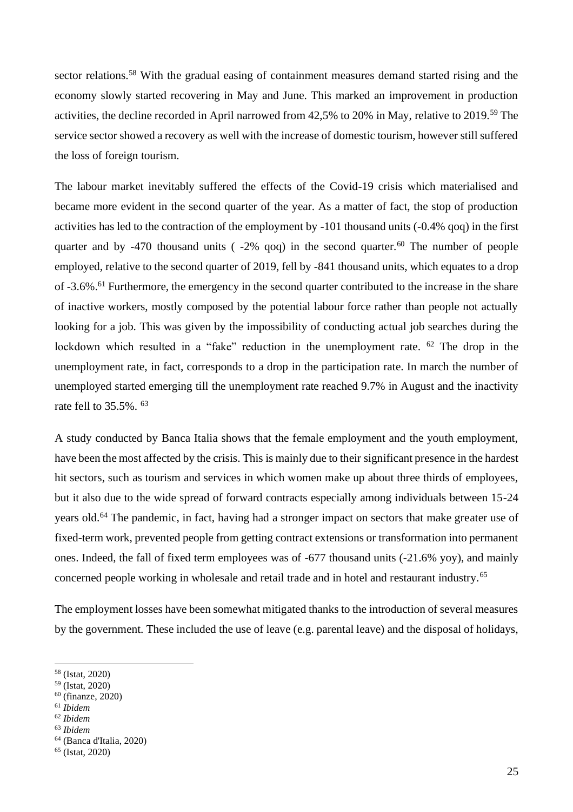sector relations.<sup>58</sup> With the gradual easing of containment measures demand started rising and the economy slowly started recovering in May and June. This marked an improvement in production activities, the decline recorded in April narrowed from 42,5% to 20% in May, relative to 2019.<sup>59</sup> The service sector showed a recovery as well with the increase of domestic tourism, however still suffered the loss of foreign tourism.

The labour market inevitably suffered the effects of the Covid-19 crisis which materialised and became more evident in the second quarter of the year. As a matter of fact, the stop of production activities has led to the contraction of the employment by -101 thousand units (-0.4% qoq) in the first quarter and by -470 thousand units ( $-2\%$  qoq) in the second quarter.<sup>60</sup> The number of people employed, relative to the second quarter of 2019, fell by -841 thousand units, which equates to a drop of -3.6%.<sup>61</sup> Furthermore, the emergency in the second quarter contributed to the increase in the share of inactive workers, mostly composed by the potential labour force rather than people not actually looking for a job. This was given by the impossibility of conducting actual job searches during the lockdown which resulted in a "fake" reduction in the unemployment rate. <sup>62</sup> The drop in the unemployment rate, in fact, corresponds to a drop in the participation rate. In march the number of unemployed started emerging till the unemployment rate reached 9.7% in August and the inactivity rate fell to 35.5%. <sup>63</sup>

A study conducted by Banca Italia shows that the female employment and the youth employment, have been the most affected by the crisis. This is mainly due to their significant presence in the hardest hit sectors, such as tourism and services in which women make up about three thirds of employees, but it also due to the wide spread of forward contracts especially among individuals between 15-24 years old.<sup>64</sup> The pandemic, in fact, having had a stronger impact on sectors that make greater use of fixed-term work, prevented people from getting contract extensions or transformation into permanent ones. Indeed, the fall of fixed term employees was of -677 thousand units (-21.6% yoy), and mainly concerned people working in wholesale and retail trade and in hotel and restaurant industry.<sup>65</sup>

The employment losses have been somewhat mitigated thanks to the introduction of several measures by the government. These included the use of leave (e.g. parental leave) and the disposal of holidays,

<sup>62</sup> *Ibidem*

<sup>58</sup> (Istat, 2020)

<sup>59</sup> (Istat, 2020)

 $60$  (finanze, 2020)

<sup>61</sup> *Ibidem*

<sup>63</sup> *Ibidem*

<sup>64</sup> (Banca d'Italia, 2020)

<sup>65</sup> (Istat, 2020)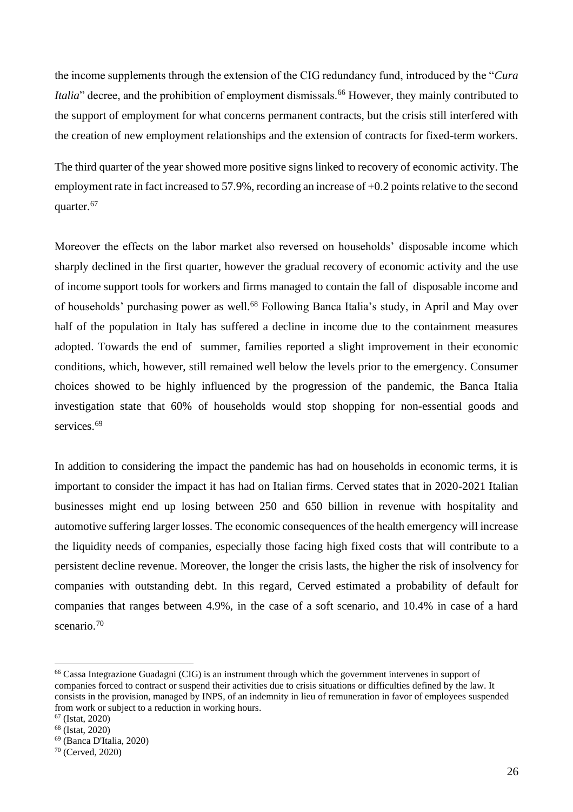the income supplements through the extension of the CIG redundancy fund, introduced by the "*Cura Italia*" decree, and the prohibition of employment dismissals.<sup>66</sup> However, they mainly contributed to the support of employment for what concerns permanent contracts, but the crisis still interfered with the creation of new employment relationships and the extension of contracts for fixed-term workers.

The third quarter of the year showed more positive signs linked to recovery of economic activity. The employment rate in fact increased to 57.9%, recording an increase of +0.2 points relative to the second quarter.<sup>67</sup>

Moreover the effects on the labor market also reversed on households' disposable income which sharply declined in the first quarter, however the gradual recovery of economic activity and the use of income support tools for workers and firms managed to contain the fall of disposable income and of households' purchasing power as well.<sup>68</sup> Following Banca Italia's study, in April and May over half of the population in Italy has suffered a decline in income due to the containment measures adopted. Towards the end of summer, families reported a slight improvement in their economic conditions, which, however, still remained well below the levels prior to the emergency. Consumer choices showed to be highly influenced by the progression of the pandemic, the Banca Italia investigation state that 60% of households would stop shopping for non-essential goods and services.<sup>69</sup>

In addition to considering the impact the pandemic has had on households in economic terms, it is important to consider the impact it has had on Italian firms. Cerved states that in 2020-2021 Italian businesses might end up losing between 250 and 650 billion in revenue with hospitality and automotive suffering larger losses. The economic consequences of the health emergency will increase the liquidity needs of companies, especially those facing high fixed costs that will contribute to a persistent decline revenue. Moreover, the longer the crisis lasts, the higher the risk of insolvency for companies with outstanding debt. In this regard, Cerved estimated a probability of default for companies that ranges between 4.9%, in the case of a soft scenario, and 10.4% in case of a hard scenario.<sup>70</sup>

<sup>66</sup> Cassa Integrazione Guadagni (CIG) is an instrument through which the government intervenes in support of companies forced to contract or suspend their activities due to crisis situations or difficulties defined by the law. It consists in the provision, managed by INPS, of an indemnity in lieu of remuneration in favor of employees suspended from work or subject to a reduction in working hours.

<sup>67</sup> (Istat, 2020)

<sup>68</sup> (Istat, 2020)

<sup>69</sup> (Banca D'Italia, 2020)

<sup>70</sup> (Cerved, 2020)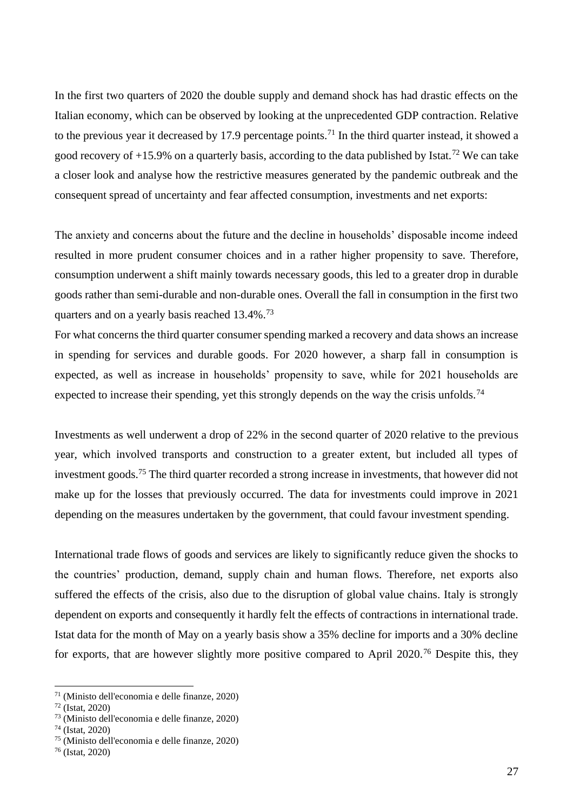In the first two quarters of 2020 the double supply and demand shock has had drastic effects on the Italian economy, which can be observed by looking at the unprecedented GDP contraction. Relative to the previous year it decreased by 17.9 percentage points.<sup>71</sup> In the third quarter instead, it showed a good recovery of  $+15.9\%$  on a quarterly basis, according to the data published by Istat.<sup>72</sup> We can take a closer look and analyse how the restrictive measures generated by the pandemic outbreak and the consequent spread of uncertainty and fear affected consumption, investments and net exports:

The anxiety and concerns about the future and the decline in households' disposable income indeed resulted in more prudent consumer choices and in a rather higher propensity to save. Therefore, consumption underwent a shift mainly towards necessary goods, this led to a greater drop in durable goods rather than semi-durable and non-durable ones. Overall the fall in consumption in the first two quarters and on a yearly basis reached 13.4%.<sup>73</sup>

For what concerns the third quarter consumer spending marked a recovery and data shows an increase in spending for services and durable goods. For 2020 however, a sharp fall in consumption is expected, as well as increase in households' propensity to save, while for 2021 households are expected to increase their spending, yet this strongly depends on the way the crisis unfolds.<sup>74</sup>

Investments as well underwent a drop of 22% in the second quarter of 2020 relative to the previous year, which involved transports and construction to a greater extent, but included all types of investment goods.<sup>75</sup> The third quarter recorded a strong increase in investments, that however did not make up for the losses that previously occurred. The data for investments could improve in 2021 depending on the measures undertaken by the government, that could favour investment spending.

International trade flows of goods and services are likely to significantly reduce given the shocks to the countries' production, demand, supply chain and human flows. Therefore, net exports also suffered the effects of the crisis, also due to the disruption of global value chains. Italy is strongly dependent on exports and consequently it hardly felt the effects of contractions in international trade. Istat data for the month of May on a yearly basis show a 35% decline for imports and a 30% decline for exports, that are however slightly more positive compared to April 2020.<sup>76</sup> Despite this, they

<sup>71</sup> (Ministo dell'economia e delle finanze, 2020)

 $72$  (Istat, 2020)

<sup>73</sup> (Ministo dell'economia e delle finanze, 2020)

<sup>74</sup> (Istat, 2020)

<sup>75</sup> (Ministo dell'economia e delle finanze, 2020)

<sup>76</sup> (Istat, 2020)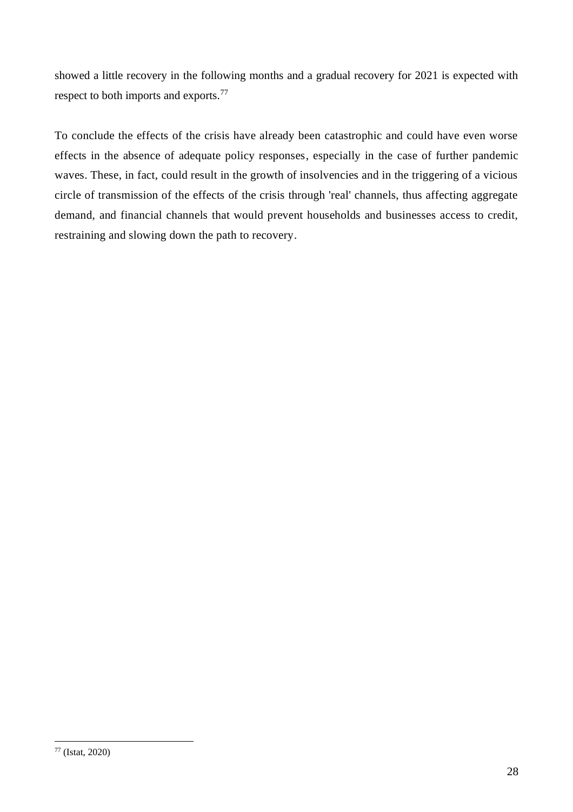showed a little recovery in the following months and a gradual recovery for 2021 is expected with respect to both imports and exports.<sup>77</sup>

To conclude the effects of the crisis have already been catastrophic and could have even worse effects in the absence of adequate policy responses, especially in the case of further pandemic waves. These, in fact, could result in the growth of insolvencies and in the triggering of a vicious circle of transmission of the effects of the crisis through 'real' channels, thus affecting aggregate demand, and financial channels that would prevent households and businesses access to credit, restraining and slowing down the path to recovery.

<sup>77</sup> (Istat, 2020)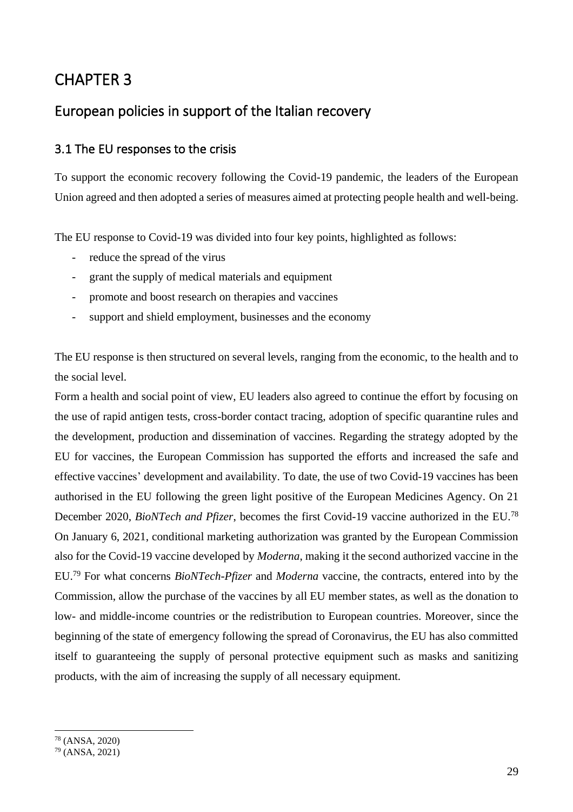# CHAPTER 3

## European policies in support of the Italian recovery

### 3.1 The EU responses to the crisis

To support the economic recovery following the Covid-19 pandemic, the leaders of the European Union agreed and then adopted a series of measures aimed at protecting people health and well-being.

The EU response to Covid-19 was divided into four key points, highlighted as follows:

- reduce the spread of the virus
- grant the supply of medical materials and equipment
- promote and boost research on therapies and vaccines
- support and shield employment, businesses and the economy

The EU response is then structured on several levels, ranging from the economic, to the health and to the social level.

Form a health and social point of view, EU leaders also agreed to continue the effort by focusing on the use of rapid antigen tests, cross-border contact tracing, adoption of specific quarantine rules and the development, production and dissemination of vaccines. Regarding the strategy adopted by the EU for vaccines, the European Commission has supported the efforts and increased the safe and effective vaccines' development and availability. To date, the use of two Covid-19 vaccines has been authorised in the EU following the green light positive of the European Medicines Agency. On 21 December 2020, *BioNTech and Pfizer*, becomes the first Covid-19 vaccine authorized in the EU.<sup>78</sup> On January 6, 2021, conditional marketing authorization was granted by the European Commission also for the Covid-19 vaccine developed by *Moderna*, making it the second authorized vaccine in the EU.<sup>79</sup> For what concerns *BioNTech-Pfizer* and *Moderna* vaccine, the contracts, entered into by the Commission, allow the purchase of the vaccines by all EU member states, as well as the donation to low- and middle-income countries or the redistribution to European countries. Moreover, since the beginning of the state of emergency following the spread of Coronavirus, the EU has also committed itself to guaranteeing the supply of personal protective equipment such as masks and sanitizing products, with the aim of increasing the supply of all necessary equipment.

<sup>78</sup> (ANSA, 2020)

 $79$  (ANSA, 2021)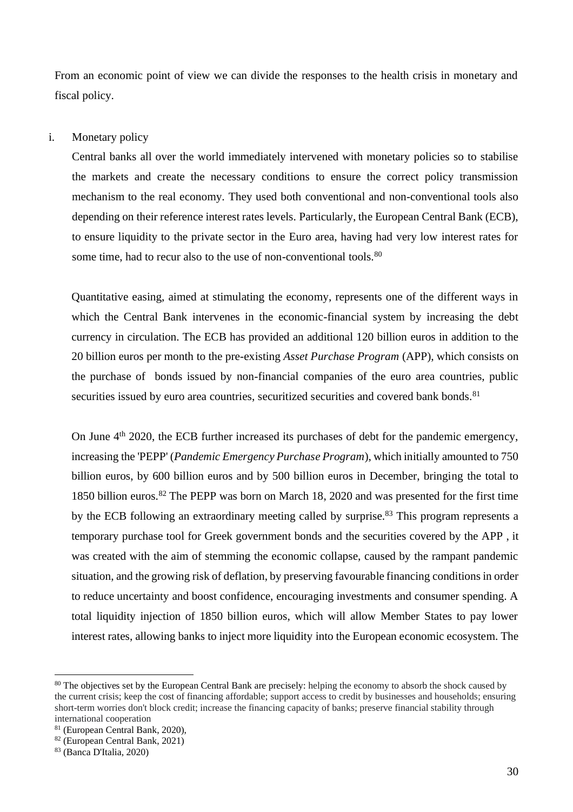From an economic point of view we can divide the responses to the health crisis in monetary and fiscal policy.

#### i. Monetary policy

Central banks all over the world immediately intervened with monetary policies so to stabilise the markets and create the necessary conditions to ensure the correct policy transmission mechanism to the real economy. They used both conventional and non-conventional tools also depending on their reference interest rates levels. Particularly, the European Central Bank (ECB), to ensure liquidity to the private sector in the Euro area, having had very low interest rates for some time, had to recur also to the use of non-conventional tools.<sup>80</sup>

Quantitative easing, aimed at stimulating the economy, represents one of the different ways in which the Central Bank intervenes in the economic-financial system by increasing the debt currency in circulation. The ECB has provided an additional 120 billion euros in addition to the 20 billion euros per month to the pre-existing *Asset Purchase Program* (APP), which consists on the purchase of bonds issued by non-financial companies of the euro area countries, public securities issued by euro area countries, securitized securities and covered bank bonds.<sup>81</sup>

On June  $4<sup>th</sup>$  2020, the ECB further increased its purchases of debt for the pandemic emergency, increasing the 'PEPP' (*Pandemic Emergency Purchase Program*), which initially amounted to 750 billion euros, by 600 billion euros and by 500 billion euros in December, bringing the total to 1850 billion euros.<sup>82</sup> The PEPP was born on March 18, 2020 and was presented for the first time by the ECB following an extraordinary meeting called by surprise.<sup>83</sup> This program represents a temporary purchase tool for Greek government bonds and the securities covered by the APP , it was created with the aim of stemming the economic collapse, caused by the rampant pandemic situation, and the growing risk of deflation, by preserving favourable financing conditions in order to reduce uncertainty and boost confidence, encouraging investments and consumer spending. A total liquidity injection of 1850 billion euros, which will allow Member States to pay lower interest rates, allowing banks to inject more liquidity into the European economic ecosystem. The

<sup>&</sup>lt;sup>80</sup> The objectives set by the European Central Bank are precisely: helping the economy to absorb the shock caused by the current crisis; keep the cost of financing affordable; support access to credit by businesses and households; ensuring short-term worries don't block credit; increase the financing capacity of banks; preserve financial stability through international cooperation

<sup>81</sup> (European Central Bank, 2020),

<sup>82</sup> (European Central Bank, 2021)

<sup>83</sup> (Banca D'Italia, 2020)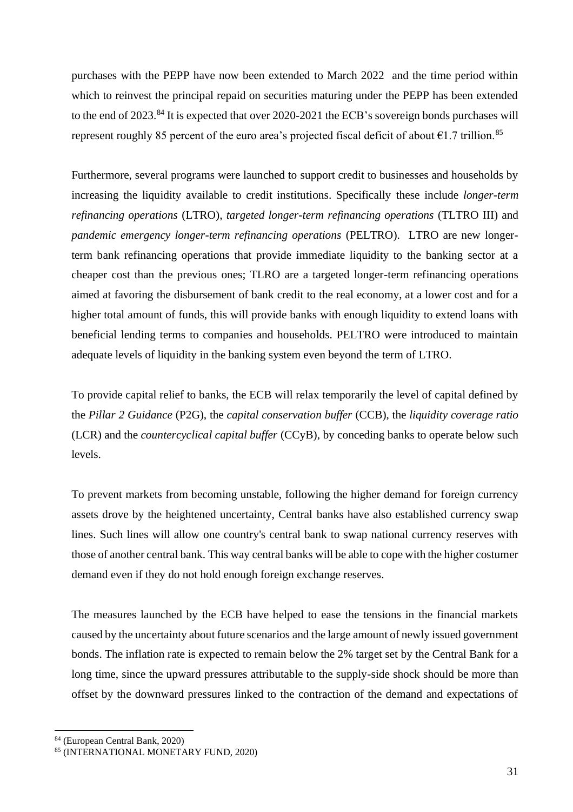purchases with the PEPP have now been extended to March 2022 and the time period within which to reinvest the principal repaid on securities maturing under the PEPP has been extended to the end of 2023.<sup>84</sup> It is expected that over 2020-2021 the ECB's sovereign bonds purchases will represent roughly 85 percent of the euro area's projected fiscal deficit of about  $\epsilon$ 1.7 trillion.<sup>85</sup>

Furthermore, several programs were launched to support credit to businesses and households by increasing the liquidity available to credit institutions. Specifically these include *longer-term refinancing operations* (LTRO), *targeted longer-term refinancing operations* (TLTRO III) and *pandemic emergency longer-term refinancing operations* (PELTRO). LTRO are new longerterm bank refinancing operations that provide immediate liquidity to the banking sector at a cheaper cost than the previous ones; TLRO are a targeted longer-term refinancing operations aimed at favoring the disbursement of bank credit to the real economy, at a lower cost and for a higher total amount of funds, this will provide banks with enough liquidity to extend loans with beneficial lending terms to companies and households. PELTRO were introduced to maintain adequate levels of liquidity in the banking system even beyond the term of LTRO.

To provide capital relief to banks, the ECB will relax temporarily the level of capital defined by the *Pillar 2 Guidance* (P2G), the *capital conservation buffer* (CCB), the *liquidity coverage ratio*  (LCR) and the *countercyclical capital buffer* (CCyB), by conceding banks to operate below such levels.

To prevent markets from becoming unstable, following the higher demand for foreign currency assets drove by the heightened uncertainty, Central banks have also established currency swap lines. Such lines will allow one country's central bank to swap national currency reserves with those of another central bank. This way central banks will be able to cope with the higher costumer demand even if they do not hold enough foreign exchange reserves.

The measures launched by the ECB have helped to ease the tensions in the financial markets caused by the uncertainty about future scenarios and the large amount of newly issued government bonds. The inflation rate is expected to remain below the 2% target set by the Central Bank for a long time, since the upward pressures attributable to the supply-side shock should be more than offset by the downward pressures linked to the contraction of the demand and expectations of

<sup>84</sup> (European Central Bank, 2020)

<sup>85 (</sup>INTERNATIONAL MONETARY FUND, 2020)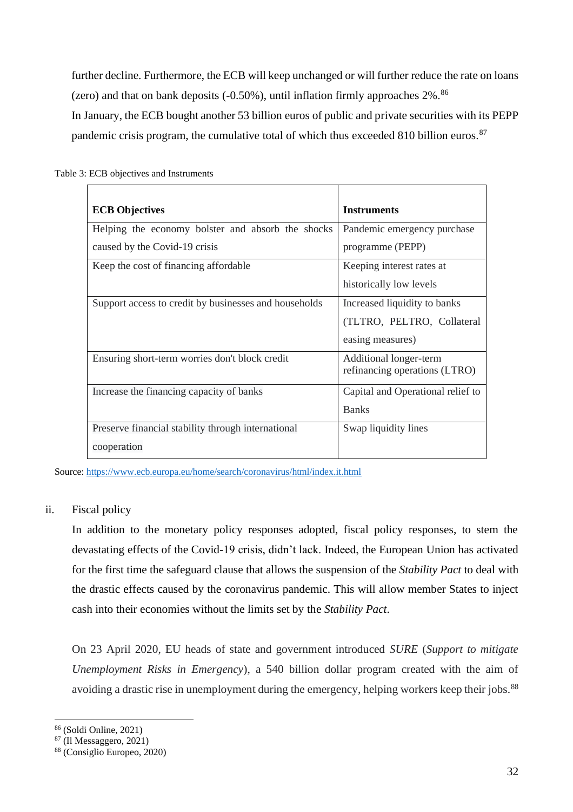further decline. Furthermore, the ECB will keep unchanged or will further reduce the rate on loans (zero) and that on bank deposits  $(-0.50\%)$ , until inflation firmly approaches  $2\%$ .  $86$ In January, the ECB bought another 53 billion euros of public and private securities with its PEPP pandemic crisis program, the cumulative total of which thus exceeded 810 billion euros.<sup>87</sup>

| <b>ECB</b> Objectives                                 | <b>Instruments</b>                |
|-------------------------------------------------------|-----------------------------------|
| Helping the economy bolster and absorb the shocks     | Pandemic emergency purchase       |
| caused by the Covid-19 crisis                         | programme (PEPP)                  |
| Keep the cost of financing affordable                 | Keeping interest rates at         |
|                                                       | historically low levels           |
| Support access to credit by businesses and households | Increased liquidity to banks      |
|                                                       | (TLTRO, PELTRO, Collateral        |
|                                                       | easing measures)                  |
| Ensuring short-term worries don't block credit        | Additional longer-term            |
|                                                       | refinancing operations (LTRO)     |
| Increase the financing capacity of banks              | Capital and Operational relief to |
|                                                       | <b>Banks</b>                      |
| Preserve financial stability through international    | Swap liquidity lines              |
| cooperation                                           |                                   |

Table 3: ECB objectives and Instruments

Source[: https://www.ecb.europa.eu/home/search/coronavirus/html/index.it.html](https://www.ecb.europa.eu/home/search/coronavirus/html/index.it.html)

#### ii. Fiscal policy

In addition to the monetary policy responses adopted, fiscal policy responses, to stem the devastating effects of the Covid-19 crisis, didn't lack. Indeed, the European Union has activated for the first time the safeguard clause that allows the suspension of the *Stability Pact* to deal with the drastic effects caused by the coronavirus pandemic. This will allow member States to inject cash into their economies without the limits set by the *Stability Pact*.

On 23 April 2020, EU heads of state and government introduced *SURE* (*Support to mitigate Unemployment Risks in Emergency*), a 540 billion dollar program created with the aim of avoiding a drastic rise in unemployment during the emergency, helping workers keep their jobs.<sup>88</sup>

<sup>86</sup> (Soldi Online, 2021)

<sup>87</sup> (Il Messaggero, 2021)

<sup>88</sup> (Consiglio Europeo, 2020)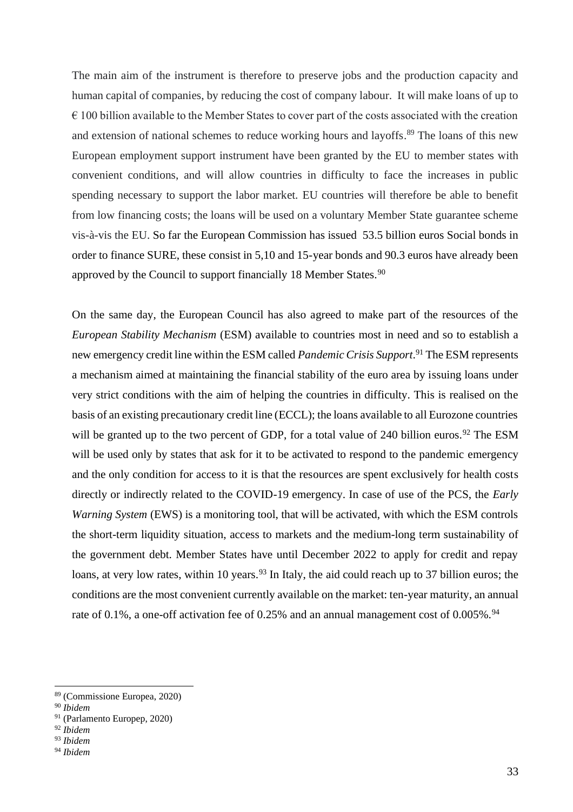The main aim of the instrument is therefore to preserve jobs and the production capacity and human capital of companies, by reducing the cost of company labour. It will make loans of up to  $\epsilon$  100 billion available to the Member States to cover part of the costs associated with the creation and extension of national schemes to reduce working hours and layoffs. <sup>89</sup> The loans of this new European employment support instrument have been granted by the EU to member states with convenient conditions, and will allow countries in difficulty to face the increases in public spending necessary to support the labor market. EU countries will therefore be able to benefit from low financing costs; the loans will be used on a voluntary Member State guarantee scheme vis-à-vis the EU. So far the European Commission has issued 53.5 billion euros Social bonds in order to finance SURE, these consist in 5,10 and 15-year bonds and 90.3 euros have already been approved by the Council to support financially 18 Member States.<sup>90</sup>

On the same day, the European Council has also agreed to make part of the resources of the *European Stability Mechanism* (ESM) available to countries most in need and so to establish a new emergency credit line within the ESM called *Pandemic Crisis Support*. <sup>91</sup> The ESM represents a mechanism aimed at maintaining the financial stability of the euro area by issuing loans under very strict conditions with the aim of helping the countries in difficulty. This is realised on the basis of an existing precautionary credit line (ECCL); the loans available to all Eurozone countries will be granted up to the two percent of GDP, for a total value of 240 billion euros.<sup>92</sup> The ESM will be used only by states that ask for it to be activated to respond to the pandemic emergency and the only condition for access to it is that the resources are spent exclusively for health costs directly or indirectly related to the COVID-19 emergency. In case of use of the PCS, the *Early Warning System* (EWS) is a monitoring tool, that will be activated, with which the ESM controls the short-term liquidity situation, access to markets and the medium-long term sustainability of the government debt. Member States have until December 2022 to apply for credit and repay loans, at very low rates, within 10 years.<sup>93</sup> In Italy, the aid could reach up to 37 billion euros; the conditions are the most convenient currently available on the market: ten-year maturity, an annual rate of  $0.1\%$ , a one-off activation fee of  $0.25\%$  and an annual management cost of  $0.005\%$ .<sup>94</sup>

<sup>89</sup> (Commissione Europea, 2020)

<sup>90</sup> *Ibidem*

<sup>91</sup> (Parlamento Europep, 2020)

<sup>92</sup> *Ibidem*

<sup>93</sup> *Ibidem*

<sup>94</sup> *Ibidem*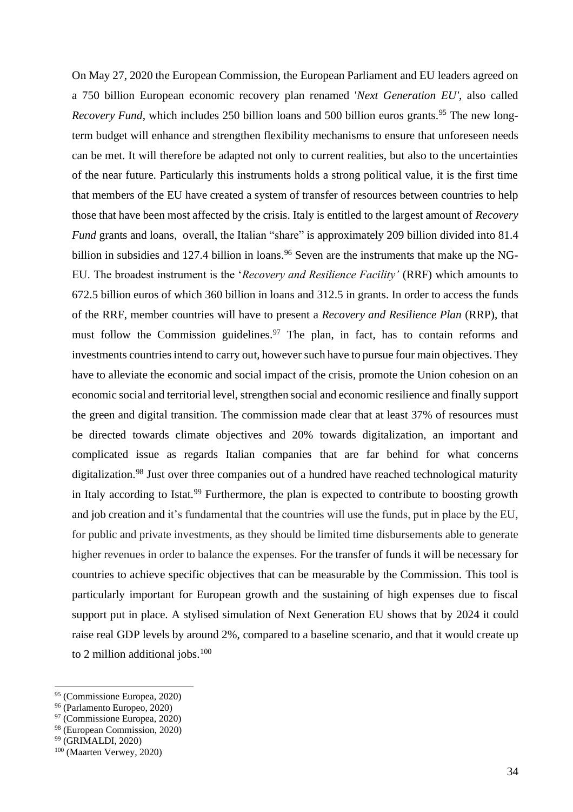On May 27, 2020 the European Commission, the European Parliament and EU leaders agreed on a 750 billion European economic recovery plan renamed '*Next Generation EU'*, also called *Recovery Fund*, which includes 250 billion loans and 500 billion euros grants.<sup>95</sup> The new longterm budget will enhance and strengthen flexibility mechanisms to ensure that unforeseen needs can be met. It will therefore be adapted not only to current realities, but also to the uncertainties of the near future. Particularly this instruments holds a strong political value, it is the first time that members of the EU have created a system of transfer of resources between countries to help those that have been most affected by the crisis. Italy is entitled to the largest amount of *Recovery Fund* grants and loans, overall, the Italian "share" is approximately 209 billion divided into 81.4 billion in subsidies and 127.4 billion in loans.<sup>96</sup> Seven are the instruments that make up the NG-EU. The broadest instrument is the '*Recovery and Resilience Facility'* (RRF) which amounts to 672.5 billion euros of which 360 billion in loans and 312.5 in grants. In order to access the funds of the RRF, member countries will have to present a *Recovery and Resilience Plan* (RRP), that must follow the Commission guidelines.<sup>97</sup> The plan, in fact, has to contain reforms and investments countries intend to carry out, however such have to pursue four main objectives. They have to alleviate the economic and social impact of the crisis, promote the Union cohesion on an economic social and territorial level, strengthen social and economic resilience and finally support the green and digital transition. The commission made clear that at least 37% of resources must be directed towards climate objectives and 20% towards digitalization, an important and complicated issue as regards Italian companies that are far behind for what concerns digitalization.<sup>98</sup> Just over three companies out of a hundred have reached technological maturity in Italy according to Istat.<sup>99</sup> Furthermore, the plan is expected to contribute to boosting growth and job creation and it's fundamental that the countries will use the funds, put in place by the EU, for public and private investments, as they should be limited time disbursements able to generate higher revenues in order to balance the expenses. For the transfer of funds it will be necessary for countries to achieve specific objectives that can be measurable by the Commission. This tool is particularly important for European growth and the sustaining of high expenses due to fiscal support put in place. A stylised simulation of Next Generation EU shows that by 2024 it could raise real GDP levels by around 2%, compared to a baseline scenario, and that it would create up to 2 million additional jobs. $100$ 

<sup>95</sup> (Commissione Europea, 2020)

<sup>96</sup> (Parlamento Europeo, 2020)

<sup>97</sup> (Commissione Europea, 2020)

<sup>98</sup> (European Commission, 2020)

<sup>99</sup> (GRIMALDI, 2020)

<sup>100</sup> (Maarten Verwey, 2020)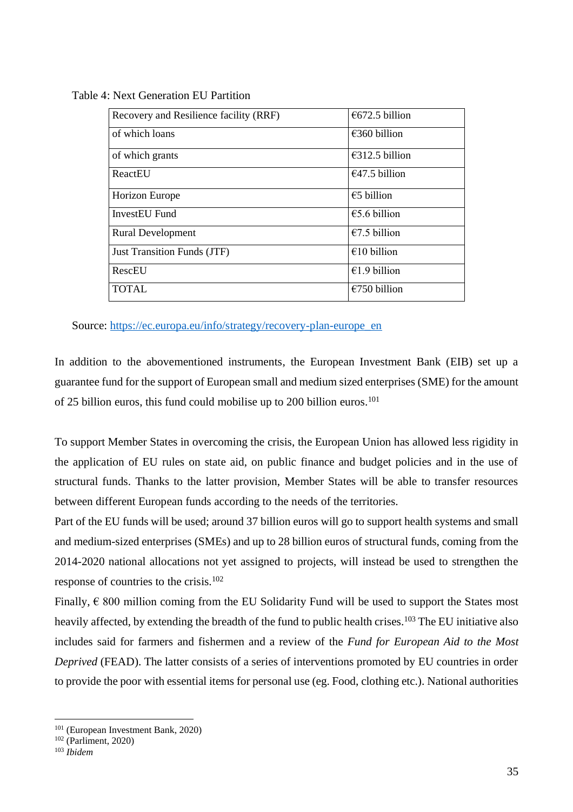| Recovery and Resilience facility (RRF) | €672.5 billion          |
|----------------------------------------|-------------------------|
| of which loans                         | €360 billion            |
| of which grants                        | €312.5 billion          |
| ReactEU                                | $\epsilon$ 47.5 billion |
| <b>Horizon Europe</b>                  | $\epsilon$ 5 billion    |
| <b>InvestEU Fund</b>                   | €5.6 billion            |
| <b>Rural Development</b>               | $€7.5$ billion          |
| <b>Just Transition Funds (JTF)</b>     | €10 billion             |
| RescEU                                 | €1.9 billion            |
| <b>TOTAL</b>                           | $€750$ billion          |

Table 4: Next Generation EU Partition

Source: [https://ec.europa.eu/info/strategy/recovery-plan-europe\\_en](https://ec.europa.eu/info/strategy/recovery-plan-europe_en)

In addition to the abovementioned instruments, the European Investment Bank (EIB) set up a guarantee fund for the support of European small and medium sized enterprises (SME) for the amount of 25 billion euros, this fund could mobilise up to 200 billion euros.<sup>101</sup>

To support Member States in overcoming the crisis, the European Union has allowed less rigidity in the application of EU rules on state aid, on public finance and budget policies and in the use of structural funds. Thanks to the latter provision, Member States will be able to transfer resources between different European funds according to the needs of the territories.

Part of the EU funds will be used; around 37 billion euros will go to support health systems and small and medium-sized enterprises (SMEs) and up to 28 billion euros of structural funds, coming from the 2014-2020 national allocations not yet assigned to projects, will instead be used to strengthen the response of countries to the crisis.<sup>102</sup>

Finally,  $\epsilon$  800 million coming from the EU Solidarity Fund will be used to support the States most heavily affected, by extending the breadth of the fund to public health crises.<sup>103</sup> The EU initiative also includes said for farmers and fishermen and a review of the *Fund for European Aid to the Most Deprived* (FEAD). The latter consists of a series of interventions promoted by EU countries in order to provide the poor with essential items for personal use (eg. Food, clothing etc.). National authorities

<sup>101</sup> (European Investment Bank, 2020)

 $102$  (Parliment, 2020)

<sup>103</sup> *Ibidem*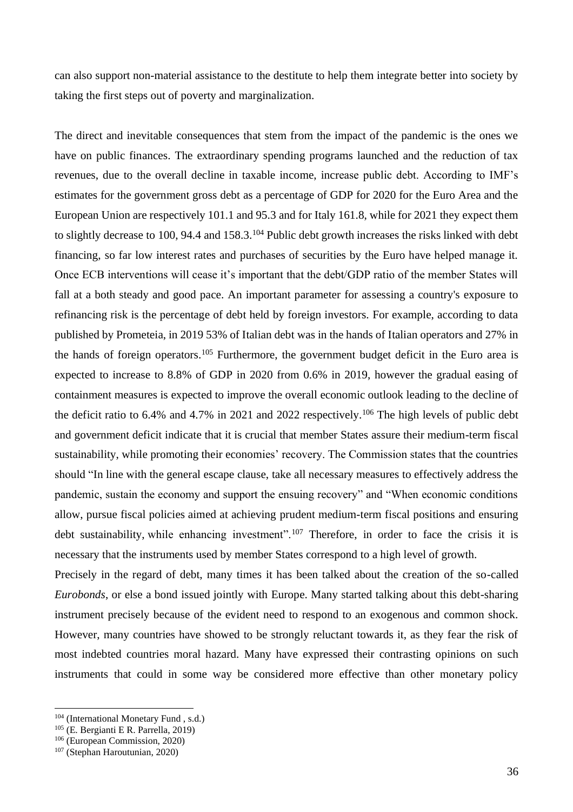can also support non-material assistance to the destitute to help them integrate better into society by taking the first steps out of poverty and marginalization.

The direct and inevitable consequences that stem from the impact of the pandemic is the ones we have on public finances. The extraordinary spending programs launched and the reduction of tax revenues, due to the overall decline in taxable income, increase public debt. According to IMF's estimates for the government gross debt as a percentage of GDP for 2020 for the Euro Area and the European Union are respectively 101.1 and 95.3 and for Italy 161.8, while for 2021 they expect them to slightly decrease to 100, 94.4 and 158.3.<sup>104</sup> Public debt growth increases the risks linked with debt financing, so far low interest rates and purchases of securities by the Euro have helped manage it. Once ECB interventions will cease it's important that the debt/GDP ratio of the member States will fall at a both steady and good pace. An important parameter for assessing a country's exposure to refinancing risk is the percentage of debt held by foreign investors. For example, according to data published by Prometeia, in 2019 53% of Italian debt was in the hands of Italian operators and 27% in the hands of foreign operators.<sup>105</sup> Furthermore, the government budget deficit in the Euro area is expected to increase to 8.8% of GDP in 2020 from 0.6% in 2019, however the gradual easing of containment measures is expected to improve the overall economic outlook leading to the decline of the deficit ratio to 6.4% and 4.7% in 2021 and 2022 respectively.<sup>106</sup> The high levels of public debt and government deficit indicate that it is crucial that member States assure their medium-term fiscal sustainability, while promoting their economies' recovery. The Commission states that the countries should "In line with the general escape clause, take all necessary measures to effectively address the pandemic, sustain the economy and support the ensuing recovery" and "When economic conditions allow, pursue fiscal policies aimed at achieving prudent medium-term fiscal positions and ensuring debt sustainability, while enhancing investment".<sup>107</sup> Therefore, in order to face the crisis it is necessary that the instruments used by member States correspond to a high level of growth.

Precisely in the regard of debt, many times it has been talked about the creation of the so-called *Eurobonds*, or else a bond issued jointly with Europe. Many started talking about this debt-sharing instrument precisely because of the evident need to respond to an exogenous and common shock. However, many countries have showed to be strongly reluctant towards it, as they fear the risk of most indebted countries moral hazard. Many have expressed their contrasting opinions on such instruments that could in some way be considered more effective than other monetary policy

<sup>104</sup> (International Monetary Fund , s.d.)

<sup>105</sup> (E. Bergianti E R. Parrella, 2019)

<sup>106</sup> (European Commission, 2020)

<sup>107</sup> (Stephan Haroutunian, 2020)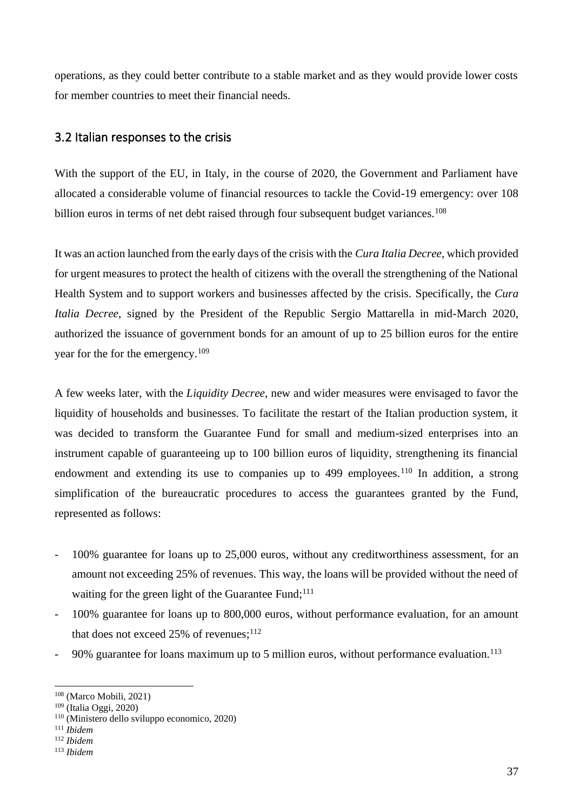operations, as they could better contribute to a stable market and as they would provide lower costs for member countries to meet their financial needs.

#### 3.2 Italian responses to the crisis

With the support of the EU, in Italy, in the course of 2020, the Government and Parliament have allocated a considerable volume of financial resources to tackle the Covid-19 emergency: over 108 billion euros in terms of net debt raised through four subsequent budget variances.<sup>108</sup>

It was an action launched from the early days of the crisis with the *Cura Italia Decree*, which provided for urgent measures to protect the health of citizens with the overall the strengthening of the National Health System and to support workers and businesses affected by the crisis. Specifically, the *Cura Italia Decree*, signed by the President of the Republic Sergio Mattarella in mid-March 2020, authorized the issuance of government bonds for an amount of up to 25 billion euros for the entire year for the for the emergency.<sup>109</sup>

A few weeks later, with the *Liquidity Decree*, new and wider measures were envisaged to favor the liquidity of households and businesses. To facilitate the restart of the Italian production system, it was decided to transform the Guarantee Fund for small and medium-sized enterprises into an instrument capable of guaranteeing up to 100 billion euros of liquidity, strengthening its financial endowment and extending its use to companies up to 499 employees.<sup>110</sup> In addition, a strong simplification of the bureaucratic procedures to access the guarantees granted by the Fund, represented as follows:

- 100% guarantee for loans up to 25,000 euros, without any creditworthiness assessment, for an amount not exceeding 25% of revenues. This way, the loans will be provided without the need of waiting for the green light of the Guarantee Fund;<sup>111</sup>
- 100% guarantee for loans up to 800,000 euros, without performance evaluation, for an amount that does not exceed 25% of revenues;<sup>112</sup>
- 90% guarantee for loans maximum up to 5 million euros, without performance evaluation.<sup>113</sup>

<sup>108</sup> (Marco Mobili, 2021)

<sup>109</sup> (Italia Oggi, 2020)

<sup>110</sup> (Ministero dello sviluppo economico, 2020)

<sup>111</sup> *Ibidem*

<sup>112</sup> *Ibidem*

<sup>113</sup> *Ibidem*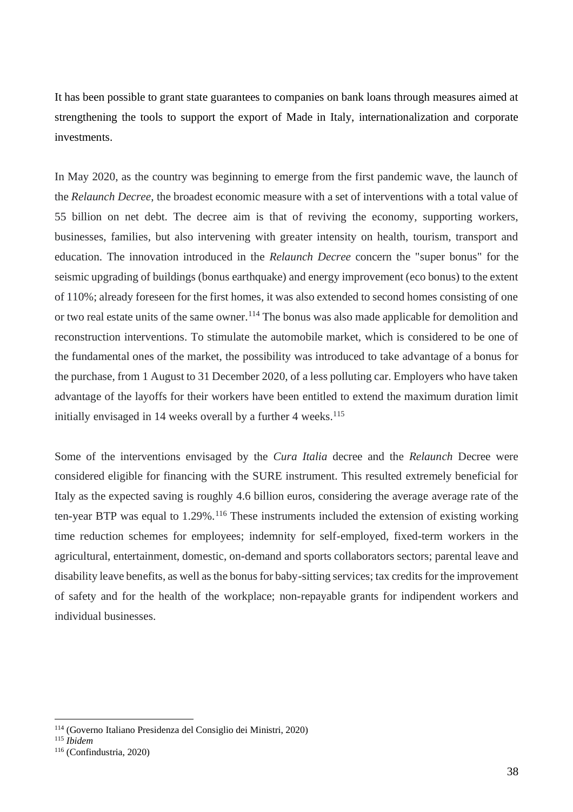It has been possible to grant state guarantees to companies on bank loans through measures aimed at strengthening the tools to support the export of Made in Italy, internationalization and corporate investments.

In May 2020, as the country was beginning to emerge from the first pandemic wave, the launch of the *Relaunch Decree*, the broadest economic measure with a set of interventions with a total value of 55 billion on net debt. The decree aim is that of reviving the economy, supporting workers, businesses, families, but also intervening with greater intensity on health, tourism, transport and education. The innovation introduced in the *Relaunch Decree* concern the "super bonus" for the seismic upgrading of buildings (bonus earthquake) and energy improvement (eco bonus) to the extent of 110%; already foreseen for the first homes, it was also extended to second homes consisting of one or two real estate units of the same owner.<sup>114</sup> The bonus was also made applicable for demolition and reconstruction interventions. To stimulate the automobile market, which is considered to be one of the fundamental ones of the market, the possibility was introduced to take advantage of a bonus for the purchase, from 1 August to 31 December 2020, of a less polluting car. Employers who have taken advantage of the layoffs for their workers have been entitled to extend the maximum duration limit initially envisaged in 14 weeks overall by a further 4 weeks. $115$ 

Some of the interventions envisaged by the *Cura Italia* decree and the *Relaunch* Decree were considered eligible for financing with the SURE instrument. This resulted extremely beneficial for Italy as the expected saving is roughly 4.6 billion euros, considering the average average rate of the ten-year BTP was equal to 1.29%.<sup>116</sup> These instruments included the extension of existing working time reduction schemes for employees; indemnity for self-employed, fixed-term workers in the agricultural, entertainment, domestic, on-demand and sports collaborators sectors; parental leave and disability leave benefits, as well as the bonus for baby-sitting services; tax credits for the improvement of safety and for the health of the workplace; non-repayable grants for indipendent workers and individual businesses.

<sup>114</sup> (Governo Italiano Presidenza del Consiglio dei Ministri, 2020)

<sup>115</sup> *Ibidem*

<sup>116</sup> (Confindustria, 2020)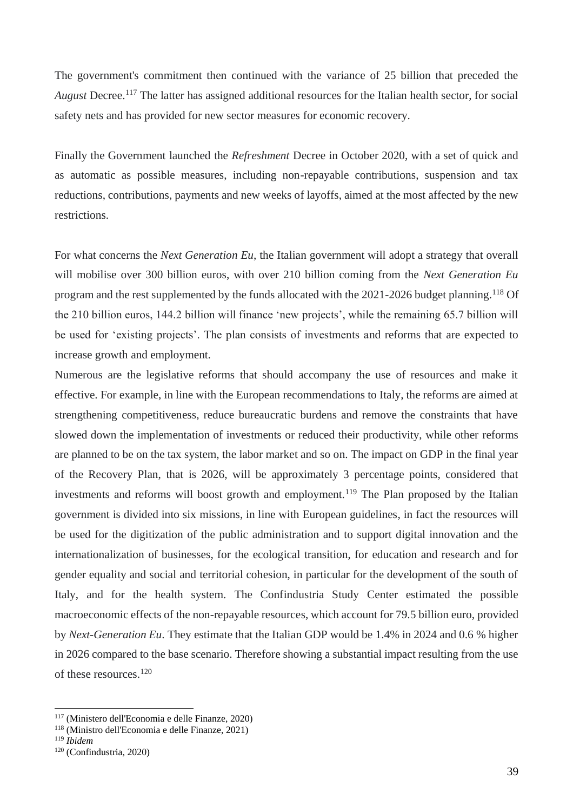The government's commitment then continued with the variance of 25 billion that preceded the *August* Decree.<sup>117</sup> The latter has assigned additional resources for the Italian health sector, for social safety nets and has provided for new sector measures for economic recovery.

Finally the Government launched the *Refreshment* Decree in October 2020, with a set of quick and as automatic as possible measures, including non-repayable contributions, suspension and tax reductions, contributions, payments and new weeks of layoffs, aimed at the most affected by the new restrictions.

For what concerns the *Next Generation Eu*, the Italian government will adopt a strategy that overall will mobilise over 300 billion euros, with over 210 billion coming from the *Next Generation Eu* program and the rest supplemented by the funds allocated with the 2021-2026 budget planning.<sup>118</sup> Of the 210 billion euros, 144.2 billion will finance 'new projects', while the remaining 65.7 billion will be used for 'existing projects'. The plan consists of investments and reforms that are expected to increase growth and employment.

Numerous are the legislative reforms that should accompany the use of resources and make it effective. For example, in line with the European recommendations to Italy, the reforms are aimed at strengthening competitiveness, reduce bureaucratic burdens and remove the constraints that have slowed down the implementation of investments or reduced their productivity, while other reforms are planned to be on the tax system, the labor market and so on. The impact on GDP in the final year of the Recovery Plan, that is 2026, will be approximately 3 percentage points, considered that investments and reforms will boost growth and employment.<sup>119</sup> The Plan proposed by the Italian government is divided into six missions, in line with European guidelines, in fact the resources will be used for the digitization of the public administration and to support digital innovation and the internationalization of businesses, for the ecological transition, for education and research and for gender equality and social and territorial cohesion, in particular for the development of the south of Italy, and for the health system. The Confindustria Study Center estimated the possible macroeconomic effects of the non-repayable resources, which account for 79.5 billion euro, provided by *Next-Generation Eu*. They estimate that the Italian GDP would be 1.4% in 2024 and 0.6 % higher in 2026 compared to the base scenario. Therefore showing a substantial impact resulting from the use of these resources.<sup>120</sup>

<sup>117</sup> (Ministero dell'Economia e delle Finanze, 2020)

<sup>118</sup> (Ministro dell'Economia e delle Finanze, 2021)

<sup>119</sup> *Ibidem*

<sup>120</sup> (Confindustria, 2020)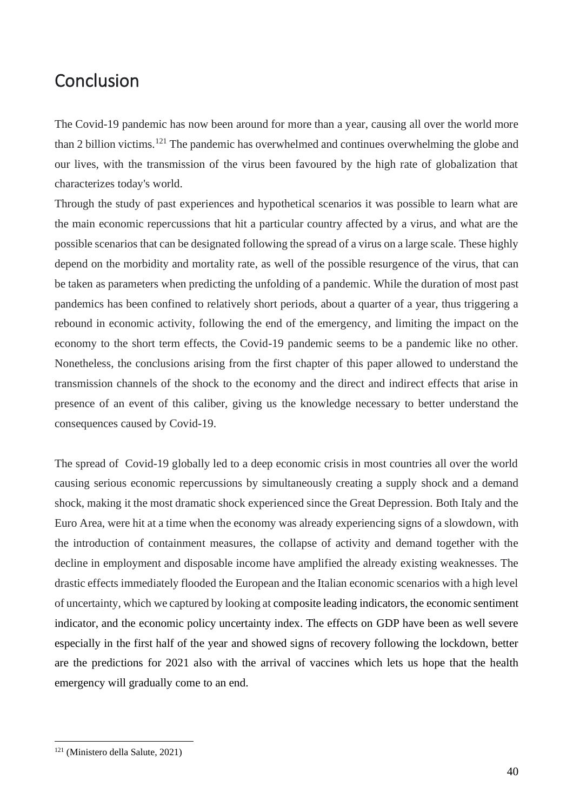# Conclusion

The Covid-19 pandemic has now been around for more than a year, causing all over the world more than 2 billion victims.<sup>121</sup> The pandemic has overwhelmed and continues overwhelming the globe and our lives, with the transmission of the virus been favoured by the high rate of globalization that characterizes today's world.

Through the study of past experiences and hypothetical scenarios it was possible to learn what are the main economic repercussions that hit a particular country affected by a virus, and what are the possible scenarios that can be designated following the spread of a virus on a large scale. These highly depend on the morbidity and mortality rate, as well of the possible resurgence of the virus, that can be taken as parameters when predicting the unfolding of a pandemic. While the duration of most past pandemics has been confined to relatively short periods, about a quarter of a year, thus triggering a rebound in economic activity, following the end of the emergency, and limiting the impact on the economy to the short term effects, the Covid-19 pandemic seems to be a pandemic like no other. Nonetheless, the conclusions arising from the first chapter of this paper allowed to understand the transmission channels of the shock to the economy and the direct and indirect effects that arise in presence of an event of this caliber, giving us the knowledge necessary to better understand the consequences caused by Covid-19.

The spread of Covid-19 globally led to a deep economic crisis in most countries all over the world causing serious economic repercussions by simultaneously creating a supply shock and a demand shock, making it the most dramatic shock experienced since the Great Depression. Both Italy and the Euro Area, were hit at a time when the economy was already experiencing signs of a slowdown, with the introduction of containment measures, the collapse of activity and demand together with the decline in employment and disposable income have amplified the already existing weaknesses. The drastic effects immediately flooded the European and the Italian economic scenarios with a high level of uncertainty, which we captured by looking at composite leading indicators, the economic sentiment indicator, and the economic policy uncertainty index. The effects on GDP have been as well severe especially in the first half of the year and showed signs of recovery following the lockdown, better are the predictions for 2021 also with the arrival of vaccines which lets us hope that the health emergency will gradually come to an end.

<sup>121</sup> (Ministero della Salute, 2021)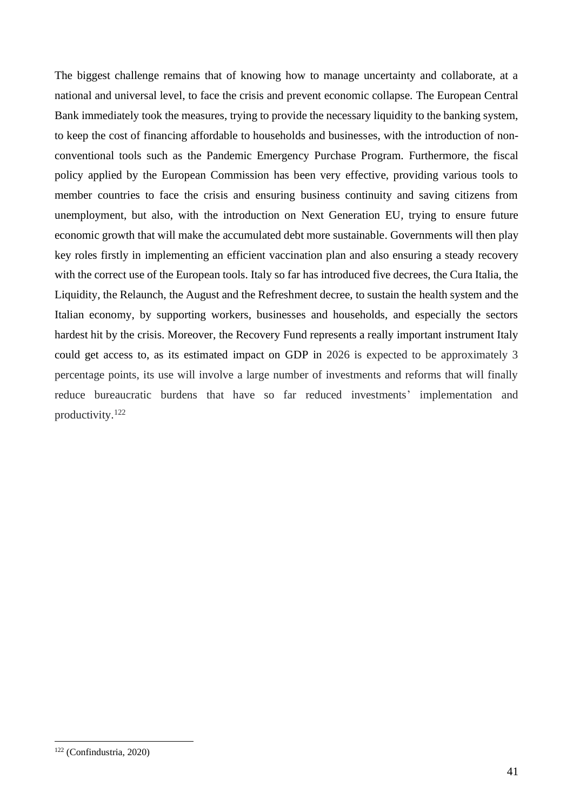The biggest challenge remains that of knowing how to manage uncertainty and collaborate, at a national and universal level, to face the crisis and prevent economic collapse. The European Central Bank immediately took the measures, trying to provide the necessary liquidity to the banking system, to keep the cost of financing affordable to households and businesses, with the introduction of nonconventional tools such as the Pandemic Emergency Purchase Program. Furthermore, the fiscal policy applied by the European Commission has been very effective, providing various tools to member countries to face the crisis and ensuring business continuity and saving citizens from unemployment, but also, with the introduction on Next Generation EU, trying to ensure future economic growth that will make the accumulated debt more sustainable. Governments will then play key roles firstly in implementing an efficient vaccination plan and also ensuring a steady recovery with the correct use of the European tools. Italy so far has introduced five decrees, the Cura Italia, the Liquidity, the Relaunch, the August and the Refreshment decree, to sustain the health system and the Italian economy, by supporting workers, businesses and households, and especially the sectors hardest hit by the crisis. Moreover, the Recovery Fund represents a really important instrument Italy could get access to, as its estimated impact on GDP in 2026 is expected to be approximately 3 percentage points, its use will involve a large number of investments and reforms that will finally reduce bureaucratic burdens that have so far reduced investments' implementation and productivity.<sup>122</sup>

<sup>122</sup> (Confindustria, 2020)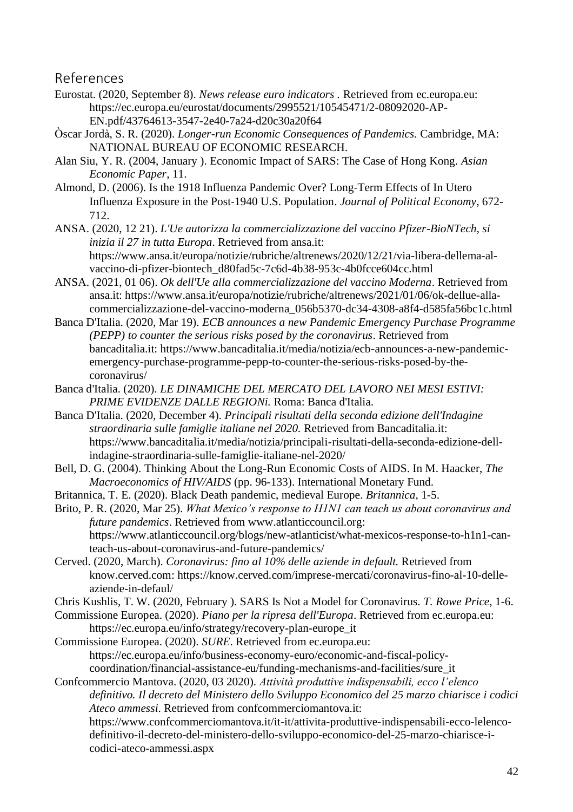References

- Eurostat. (2020, September 8). *News release euro indicators .* Retrieved from ec.europa.eu: https://ec.europa.eu/eurostat/documents/2995521/10545471/2-08092020-AP-EN.pdf/43764613-3547-2e40-7a24-d20c30a20f64
- Òscar Jordà, S. R. (2020). *Longer-run Economic Consequences of Pandemics.* Cambridge, MA: NATIONAL BUREAU OF ECONOMIC RESEARCH.
- Alan Siu, Y. R. (2004, January ). Economic Impact of SARS: The Case of Hong Kong. *Asian Economic Paper*, 11.
- Almond, D. (2006). Is the 1918 Influenza Pandemic Over? Long‐Term Effects of In Utero Influenza Exposure in the Post‐1940 U.S. Population. *Journal of Political Economy*, 672- 712.
- ANSA. (2020, 12 21). *L'Ue autorizza la commercializzazione del vaccino Pfizer-BioNTech, si inizia il 27 in tutta Europa*. Retrieved from ansa.it: https://www.ansa.it/europa/notizie/rubriche/altrenews/2020/12/21/via-libera-dellema-alvaccino-di-pfizer-biontech\_d80fad5c-7c6d-4b38-953c-4b0fcce604cc.html
- ANSA. (2021, 01 06). *Ok dell'Ue alla commercializzazione del vaccino Moderna*. Retrieved from ansa.it: https://www.ansa.it/europa/notizie/rubriche/altrenews/2021/01/06/ok-dellue-allacommercializzazione-del-vaccino-moderna\_056b5370-dc34-4308-a8f4-d585fa56bc1c.html
- Banca D'Italia. (2020, Mar 19). *ECB announces a new Pandemic Emergency Purchase Programme (PEPP) to counter the serious risks posed by the coronavirus*. Retrieved from bancaditalia.it: https://www.bancaditalia.it/media/notizia/ecb-announces-a-new-pandemicemergency-purchase-programme-pepp-to-counter-the-serious-risks-posed-by-thecoronavirus/
- Banca d'Italia. (2020). *LE DINAMICHE DEL MERCATO DEL LAVORO NEI MESI ESTIVI: PRIME EVIDENZE DALLE REGIONi.* Roma: Banca d'Italia.
- Banca D'Italia. (2020, December 4). *Principali risultati della seconda edizione dell'Indagine straordinaria sulle famiglie italiane nel 2020.* Retrieved from Bancaditalia.it: https://www.bancaditalia.it/media/notizia/principali-risultati-della-seconda-edizione-dellindagine-straordinaria-sulle-famiglie-italiane-nel-2020/
- Bell, D. G. (2004). Thinking About the Long-Run Economic Costs of AIDS. In M. Haacker, *The Macroeconomics of HIV/AIDS* (pp. 96-133). International Monetary Fund.
- Britannica, T. E. (2020). Black Death pandemic, medieval Europe. *Britannica*, 1-5.

Brito, P. R. (2020, Mar 25). *What Mexico's response to H1N1 can teach us about coronavirus and future pandemics*. Retrieved from www.atlanticcouncil.org: https://www.atlanticcouncil.org/blogs/new-atlanticist/what-mexicos-response-to-h1n1-canteach-us-about-coronavirus-and-future-pandemics/

Cerved. (2020, March). *Coronavirus: fino al 10% delle aziende in default.* Retrieved from know.cerved.com: https://know.cerved.com/imprese-mercati/coronavirus-fino-al-10-delleaziende-in-defaul/

Chris Kushlis, T. W. (2020, February ). SARS Is Not a Model for Coronavirus. *T. Rowe Price*, 1-6.

Commissione Europea. (2020). *Piano per la ripresa dell'Europa*. Retrieved from ec.europa.eu: https://ec.europa.eu/info/strategy/recovery-plan-europe\_it

Commissione Europea. (2020). *SURE*. Retrieved from ec.europa.eu: https://ec.europa.eu/info/business-economy-euro/economic-and-fiscal-policycoordination/financial-assistance-eu/funding-mechanisms-and-facilities/sure\_it

Confcommercio Mantova. (2020, 03 2020). *Attività produttive indispensabili, ecco l'elenco definitivo. Il decreto del Ministero dello Sviluppo Economico del 25 marzo chiarisce i codici Ateco ammessi*. Retrieved from confcommerciomantova.it: https://www.confcommerciomantova.it/it-it/attivita-produttive-indispensabili-ecco-lelencodefinitivo-il-decreto-del-ministero-dello-sviluppo-economico-del-25-marzo-chiarisce-icodici-ateco-ammessi.aspx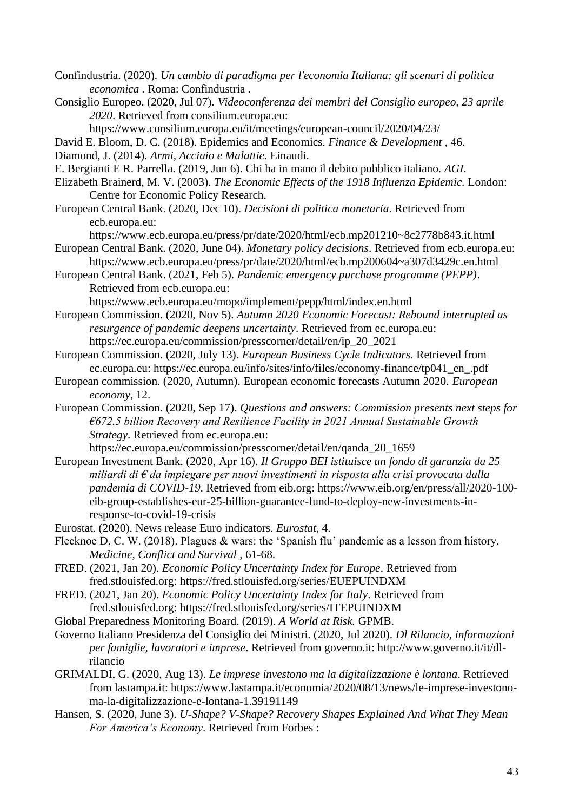Confindustria. (2020). *Un cambio di paradigma per l'economia Italiana: gli scenari di politica economica .* Roma: Confindustria .

Consiglio Europeo. (2020, Jul 07). *Videoconferenza dei membri del Consiglio europeo, 23 aprile 2020*. Retrieved from consilium.europa.eu:

https://www.consilium.europa.eu/it/meetings/european-council/2020/04/23/

David E. Bloom, D. C. (2018). Epidemics and Economics. *Finance & Development* , 46.

- Diamond, J. (2014). *Armi, Acciaio e Malattie.* Einaudi.
- E. Bergianti E R. Parrella. (2019, Jun 6). Chi ha in mano il debito pubblico italiano. *AGI*.
- Elizabeth Brainerd, M. V. (2003). *The Economic Effects of the 1918 Influenza Epidemic.* London: Centre for Economic Policy Research.
- European Central Bank. (2020, Dec 10). *Decisioni di politica monetaria*. Retrieved from ecb.europa.eu:
- https://www.ecb.europa.eu/press/pr/date/2020/html/ecb.mp201210~8c2778b843.it.html European Central Bank. (2020, June 04). *Monetary policy decisions*. Retrieved from ecb.europa.eu:
	- https://www.ecb.europa.eu/press/pr/date/2020/html/ecb.mp200604~a307d3429c.en.html
- European Central Bank. (2021, Feb 5). *Pandemic emergency purchase programme (PEPP)*. Retrieved from ecb.europa.eu:

https://www.ecb.europa.eu/mopo/implement/pepp/html/index.en.html

- European Commission. (2020, Nov 5). *Autumn 2020 Economic Forecast: Rebound interrupted as resurgence of pandemic deepens uncertainty*. Retrieved from ec.europa.eu: https://ec.europa.eu/commission/presscorner/detail/en/ip\_20\_2021
- European Commission. (2020, July 13). *European Business Cycle Indicators.* Retrieved from ec.europa.eu: https://ec.europa.eu/info/sites/info/files/economy-finance/tp041\_en\_.pdf
- European commission. (2020, Autumn). European economic forecasts Autumn 2020. *European economy*, 12.
- European Commission. (2020, Sep 17). *Questions and answers: Commission presents next steps for €672.5 billion Recovery and Resilience Facility in 2021 Annual Sustainable Growth Strategy*. Retrieved from ec.europa.eu:

https://ec.europa.eu/commission/presscorner/detail/en/qanda\_20\_1659

- European Investment Bank. (2020, Apr 16). *Il Gruppo BEI istituisce un fondo di garanzia da 25 miliardi di € da impiegare per nuovi investimenti in risposta alla crisi provocata dalla pandemia di COVID-19*. Retrieved from eib.org: https://www.eib.org/en/press/all/2020-100 eib-group-establishes-eur-25-billion-guarantee-fund-to-deploy-new-investments-inresponse-to-covid-19-crisis
- Eurostat. (2020). News release Euro indicators. *Eurostat*, 4.
- Flecknoe D, C. W. (2018). Plagues & wars: the 'Spanish flu' pandemic as a lesson from history. *Medicine, Conflict and Survival* , 61-68.
- FRED. (2021, Jan 20). *Economic Policy Uncertainty Index for Europe*. Retrieved from fred.stlouisfed.org: https://fred.stlouisfed.org/series/EUEPUINDXM
- FRED. (2021, Jan 20). *Economic Policy Uncertainty Index for Italy*. Retrieved from fred.stlouisfed.org: https://fred.stlouisfed.org/series/ITEPUINDXM
- Global Preparedness Monitoring Board. (2019). *A World at Risk.* GPMB.
- Governo Italiano Presidenza del Consiglio dei Ministri. (2020, Jul 2020). *Dl Rilancio, informazioni per famiglie, lavoratori e imprese*. Retrieved from governo.it: http://www.governo.it/it/dlrilancio
- GRIMALDI, G. (2020, Aug 13). *Le imprese investono ma la digitalizzazione è lontana*. Retrieved from lastampa.it: https://www.lastampa.it/economia/2020/08/13/news/le-imprese-investonoma-la-digitalizzazione-e-lontana-1.39191149
- Hansen, S. (2020, June 3). *U-Shape? V-Shape? Recovery Shapes Explained And What They Mean For America's Economy*. Retrieved from Forbes :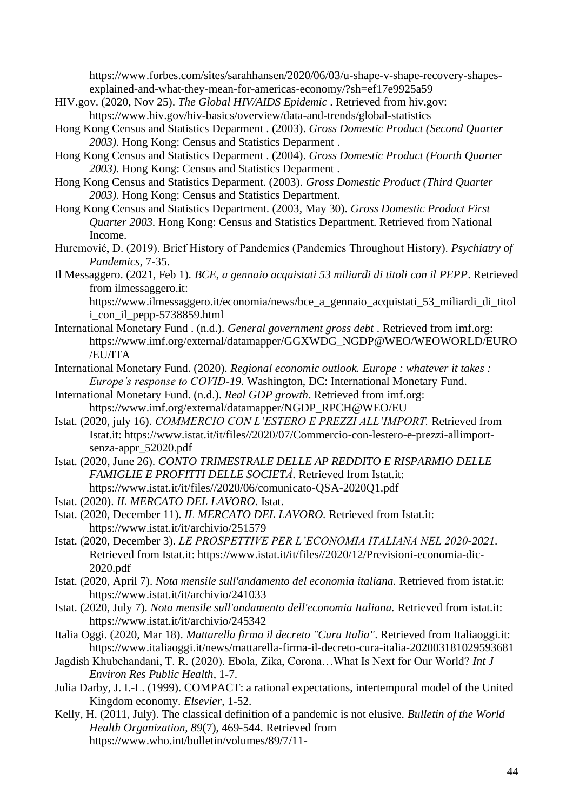https://www.forbes.com/sites/sarahhansen/2020/06/03/u-shape-v-shape-recovery-shapesexplained-and-what-they-mean-for-americas-economy/?sh=ef17e9925a59

- HIV.gov. (2020, Nov 25). *The Global HIV/AIDS Epidemic* . Retrieved from hiv.gov: https://www.hiv.gov/hiv-basics/overview/data-and-trends/global-statistics
- Hong Kong Census and Statistics Deparment . (2003). *Gross Domestic Product (Second Quarter 2003).* Hong Kong: Census and Statistics Deparment .
- Hong Kong Census and Statistics Deparment . (2004). *Gross Domestic Product (Fourth Quarter 2003).* Hong Kong: Census and Statistics Deparment .
- Hong Kong Census and Statistics Deparment. (2003). *Gross Domestic Product (Third Quarter 2003).* Hong Kong: Census and Statistics Department.
- Hong Kong Census and Statistics Department. (2003, May 30). *Gross Domestic Product First Quarter 2003.* Hong Kong: Census and Statistics Department. Retrieved from National Income.
- Huremović, D. (2019). Brief History of Pandemics (Pandemics Throughout History). *Psychiatry of Pandemics*, 7-35.
- Il Messaggero. (2021, Feb 1). *BCE, a gennaio acquistati 53 miliardi di titoli con il PEPP*. Retrieved from ilmessaggero.it:

https://www.ilmessaggero.it/economia/news/bce\_a\_gennaio\_acquistati\_53\_miliardi\_di\_titol i\_con\_il\_pepp-5738859.html

- International Monetary Fund . (n.d.). *General government gross debt* . Retrieved from imf.org: https://www.imf.org/external/datamapper/GGXWDG\_NGDP@WEO/WEOWORLD/EURO /EU/ITA
- International Monetary Fund. (2020). *Regional economic outlook. Europe : whatever it takes : Europe's response to COVID-19.* Washington, DC: International Monetary Fund.
- International Monetary Fund. (n.d.). *Real GDP growth*. Retrieved from imf.org: https://www.imf.org/external/datamapper/NGDP\_RPCH@WEO/EU
- Istat. (2020, july 16). *COMMERCIO CON L'ESTERO E PREZZI ALL'IMPORT.* Retrieved from Istat.it: https://www.istat.it/it/files//2020/07/Commercio-con-lestero-e-prezzi-allimportsenza-appr\_52020.pdf
- Istat. (2020, June 26). *CONTO TRIMESTRALE DELLE AP REDDITO E RISPARMIO DELLE FAMIGLIE E PROFITTI DELLE SOCIETÀ.* Retrieved from Istat.it: https://www.istat.it/it/files//2020/06/comunicato-QSA-2020Q1.pdf
- Istat. (2020). *IL MERCATO DEL LAVORO.* Istat.
- Istat. (2020, December 11). *IL MERCATO DEL LAVORO.* Retrieved from Istat.it: https://www.istat.it/it/archivio/251579
- Istat. (2020, December 3). *LE PROSPETTIVE PER L'ECONOMIA ITALIANA NEL 2020-2021.* Retrieved from Istat.it: https://www.istat.it/it/files//2020/12/Previsioni-economia-dic-2020.pdf
- Istat. (2020, April 7). *Nota mensile sull'andamento del economia italiana.* Retrieved from istat.it: https://www.istat.it/it/archivio/241033
- Istat. (2020, July 7). *Nota mensile sull'andamento dell'economia Italiana.* Retrieved from istat.it: https://www.istat.it/it/archivio/245342
- Italia Oggi. (2020, Mar 18). *Mattarella firma il decreto "Cura Italia"*. Retrieved from Italiaoggi.it: https://www.italiaoggi.it/news/mattarella-firma-il-decreto-cura-italia-202003181029593681
- Jagdish Khubchandani, T. R. (2020). Ebola, Zika, Corona…What Is Next for Our World? *Int J Environ Res Public Health*, 1-7.
- Julia Darby, J. I.-L. (1999). COMPACT: a rational expectations, intertemporal model of the United Kingdom economy. *Elsevier*, 1-52.
- Kelly, H. (2011, July). The classical definition of a pandemic is not elusive. *Bulletin of the World Health Organization, 89*(7), 469-544. Retrieved from https://www.who.int/bulletin/volumes/89/7/11-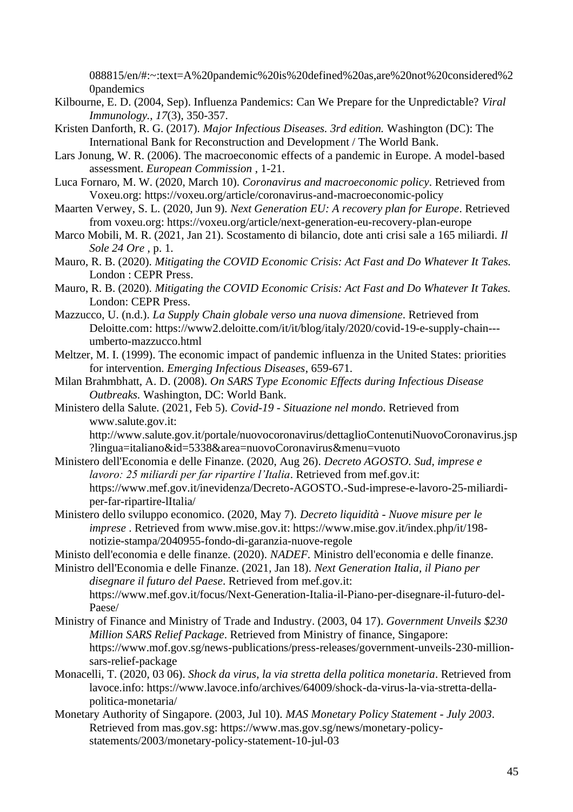088815/en/#:~:text=A%20pandemic%20is%20defined%20as,are%20not%20considered%2 0pandemics

- Kilbourne, E. D. (2004, Sep). Influenza Pandemics: Can We Prepare for the Unpredictable? *Viral Immunology., 17*(3), 350-357.
- Kristen Danforth, R. G. (2017). *Major Infectious Diseases. 3rd edition.* Washington (DC): The International Bank for Reconstruction and Development / The World Bank.
- Lars Jonung, W. R. (2006). The macroeconomic effects of a pandemic in Europe. A model-based assessment. *European Commission* , 1-21.
- Luca Fornaro, M. W. (2020, March 10). *Coronavirus and macroeconomic policy*. Retrieved from Voxeu.org: https://voxeu.org/article/coronavirus-and-macroeconomic-policy
- Maarten Verwey, S. L. (2020, Jun 9). *Next Generation EU: A recovery plan for Europe*. Retrieved from voxeu.org: https://voxeu.org/article/next-generation-eu-recovery-plan-europe
- Marco Mobili, M. R. (2021, Jan 21). Scostamento di bilancio, dote anti crisi sale a 165 miliardi. *Il Sole 24 Ore* , p. 1.
- Mauro, R. B. (2020). *Mitigating the COVID Economic Crisis: Act Fast and Do Whatever It Takes.* London : CEPR Press.
- Mauro, R. B. (2020). *Mitigating the COVID Economic Crisis: Act Fast and Do Whatever It Takes.* London: CEPR Press.
- Mazzucco, U. (n.d.). *La Supply Chain globale verso una nuova dimensione*. Retrieved from Deloitte.com: https://www2.deloitte.com/it/it/blog/italy/2020/covid-19-e-supply-chain-- umberto-mazzucco.html
- Meltzer, M. I. (1999). The economic impact of pandemic influenza in the United States: priorities for intervention. *Emerging Infectious Diseases*, 659-671.
- Milan Brahmbhatt, A. D. (2008). *On SARS Type Economic Effects during Infectious Disease Outbreaks.* Washington, DC: World Bank.
- Ministero della Salute. (2021, Feb 5). *Covid-19 - Situazione nel mondo*. Retrieved from www.salute.gov.it:

http://www.salute.gov.it/portale/nuovocoronavirus/dettaglioContenutiNuovoCoronavirus.jsp ?lingua=italiano&id=5338&area=nuovoCoronavirus&menu=vuoto

- Ministero dell'Economia e delle Finanze. (2020, Aug 26). *Decreto AGOSTO. Sud, imprese e lavoro: 25 miliardi per far ripartire l'Italia*. Retrieved from mef.gov.it: https://www.mef.gov.it/inevidenza/Decreto-AGOSTO.-Sud-imprese-e-lavoro-25-miliardiper-far-ripartire-lItalia/
- Ministero dello sviluppo economico. (2020, May 7). *Decreto liquidità - Nuove misure per le imprese* . Retrieved from www.mise.gov.it: https://www.mise.gov.it/index.php/it/198 notizie-stampa/2040955-fondo-di-garanzia-nuove-regole
- Ministo dell'economia e delle finanze. (2020). *NADEF.* Ministro dell'economia e delle finanze.

Ministro dell'Economia e delle Finanze. (2021, Jan 18). *Next Generation Italia, il Piano per disegnare il futuro del Paese*. Retrieved from mef.gov.it: https://www.mef.gov.it/focus/Next-Generation-Italia-il-Piano-per-disegnare-il-futuro-del-Paese/

- Ministry of Finance and Ministry of Trade and Industry. (2003, 04 17). *Government Unveils \$230 Million SARS Relief Package*. Retrieved from Ministry of finance, Singapore: https://www.mof.gov.sg/news-publications/press-releases/government-unveils-230-millionsars-relief-package
- Monacelli, T. (2020, 03 06). *Shock da virus, la via stretta della politica monetaria*. Retrieved from lavoce.info: https://www.lavoce.info/archives/64009/shock-da-virus-la-via-stretta-dellapolitica-monetaria/
- Monetary Authority of Singapore. (2003, Jul 10). *MAS Monetary Policy Statement - July 2003*. Retrieved from mas.gov.sg: https://www.mas.gov.sg/news/monetary-policystatements/2003/monetary-policy-statement-10-jul-03